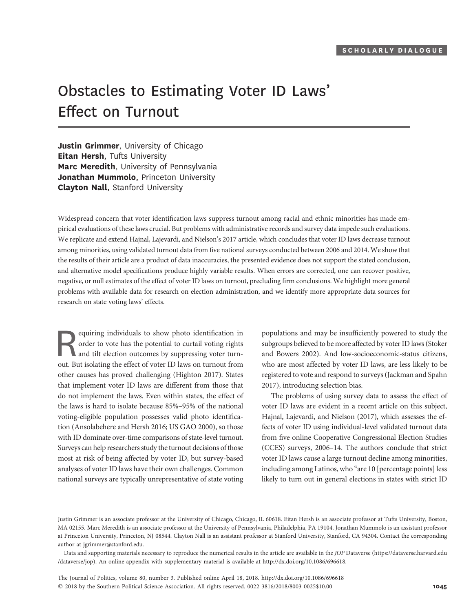# Obstacles to Estimating Voter ID Laws' <u>Effect on Turnout</u>

Justin Grimmer, University of Chicago **Eitan Hersh, Tufts University** Marc Meredith, University of Pennsylvania Jonathan Mummolo, Princeton University **Clayton Nall**, Stanford University

Widespread concern that voter identification laws suppress turnout among racial and ethnic minorities has made empirical evaluations of these laws crucial. But problems with administrative records and survey data impede such evaluations. We replicate and extend Hajnal, Lajevardi, and Nielson's 2017 article, which concludes that voter ID laws decrease turnout among minorities, using validated turnout data from five national surveys conducted between 2006 and 2014. We show that the results of their article are a product of data inaccuracies, the presented evidence does not support the stated conclusion, and alternative model specifications produce highly variable results. When errors are corrected, one can recover positive, negative, or null estimates of the effect of voter ID laws on turnout, precluding firm conclusions. We highlight more general problems with available data for research on election administration, and we identify more appropriate data sources for research on state voting laws' effects.

Equiring individuals to show photo identification in<br>order to vote has the potential to curtail voting rights<br>and tilt election outcomes by suppressing voter turn-<br>out. But isolating the effect of voter ID laws on turnout order to vote has the potential to curtail voting rights and tilt election outcomes by suppressing voter turnout. But isolating the effect of voter ID laws on turnout from other causes has proved challenging (Highton 2017). States that implement voter ID laws are different from those that do not implement the laws. Even within states, the effect of the laws is hard to isolate because 85%–95% of the national voting-eligible population possesses valid photo identification (Ansolabehere and Hersh 2016; US GAO 2000), so those with ID dominate over-time comparisons of state-level turnout. Surveys can help researchers study the turnout decisions of those most at risk of being affected by voter ID, but survey-based analyses of voter ID laws have their own challenges. Common national surveys are typically unrepresentative of state voting

populations and may be insufficiently powered to study the subgroups believed to be more affected by voter ID laws (Stoker and Bowers 2002). And low-socioeconomic-status citizens, who are most affected by voter ID laws, are less likely to be registered to vote and respond to surveys (Jackman and Spahn 2017), introducing selection bias.

The problems of using survey data to assess the effect of voter ID laws are evident in a recent article on this subject, Hajnal, Lajevardi, and Nielson (2017), which assesses the effects of voter ID using individual-level validated turnout data from five online Cooperative Congressional Election Studies (CCES) surveys, 2006–14. The authors conclude that strict voter ID laws cause a large turnout decline among minorities, including among Latinos, who "are 10 [percentage points] less likely to turn out in general elections in states with strict ID

The Journal of Politics, volume 80, number 3. Published online April 18, 2018. http://dx.doi.org/10.1086/696618  $@$  2018 by the Southern Political Science Association. All rights reserved. 0022-3816/2018/8003-0025\$10.00 1045

Justin Grimmer is an associate professor at the University of Chicago, Chicago, IL 60618. Eitan Hersh is an associate professor at Tufts University, Boston, MA 02155. Marc Meredith is an associate professor at the University of Pennsylvania, Philadelphia, PA 19104. Jonathan Mummolo is an assistant professor at Princeton University, Princeton, NJ 08544. Clayton Nall is an assistant professor at Stanford University, Stanford, CA 94304. Contact the corresponding author at jgrimmer@stanford.edu.

Data and supporting materials necessary to reproduce the numerical results in the article are available in the JOP Dataverse (https://dataverse.harvard.edu /dataverse/jop). An online appendix with supplementary material is available at http://dx.doi.org/10.1086/696618.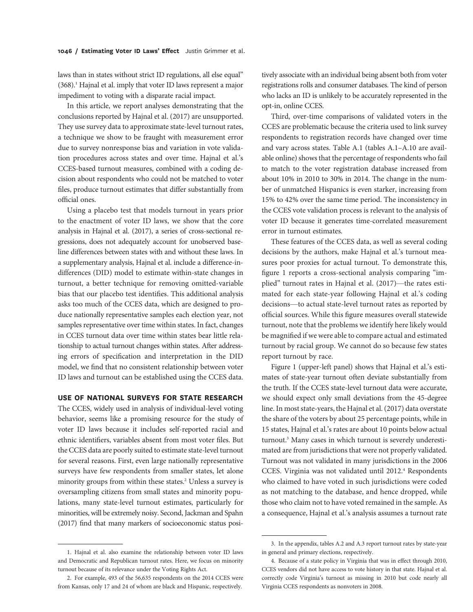laws than in states without strict ID regulations, all else equal" (368).1 Hajnal et al. imply that voter ID laws represent a major impediment to voting with a disparate racial impact.

In this article, we report analyses demonstrating that the conclusions reported by Hajnal et al. (2017) are unsupported. They use survey data to approximate state-level turnout rates, a technique we show to be fraught with measurement error due to survey nonresponse bias and variation in vote validation procedures across states and over time. Hajnal et al.'s CCES-based turnout measures, combined with a coding decision about respondents who could not be matched to voter files, produce turnout estimates that differ substantially from official ones.

Using a placebo test that models turnout in years prior to the enactment of voter ID laws, we show that the core analysis in Hajnal et al. (2017), a series of cross-sectional regressions, does not adequately account for unobserved baseline differences between states with and without these laws. In a supplementary analysis, Hajnal et al. include a difference-indifferences (DID) model to estimate within-state changes in turnout, a better technique for removing omitted-variable bias that our placebo test identifies. This additional analysis asks too much of the CCES data, which are designed to produce nationally representative samples each election year, not samples representative over time within states. In fact, changes in CCES turnout data over time within states bear little relationship to actual turnout changes within states. After addressing errors of specification and interpretation in the DID model, we find that no consistent relationship between voter ID laws and turnout can be established using the CCES data.

#### USE OF NATIONAL SURVEYS FOR STATE RESEARCH

The CCES, widely used in analysis of individual-level voting behavior, seems like a promising resource for the study of voter ID laws because it includes self-reported racial and ethnic identifiers, variables absent from most voter files. But the CCES data are poorly suited to estimate state-level turnout for several reasons. First, even large nationally representative surveys have few respondents from smaller states, let alone minority groups from within these states.<sup>2</sup> Unless a survey is oversampling citizens from small states and minority populations, many state-level turnout estimates, particularly for minorities, will be extremely noisy. Second, Jackman and Spahn (2017) find that many markers of socioeconomic status positively associate with an individual being absent both from voter registrations rolls and consumer databases. The kind of person who lacks an ID is unlikely to be accurately represented in the opt-in, online CCES.

Third, over-time comparisons of validated voters in the CCES are problematic because the criteria used to link survey respondents to registration records have changed over time and vary across states. Table A.1 (tables A.1–A.10 are available online) shows that the percentage of respondents who fail to match to the voter registration database increased from about 10% in 2010 to 30% in 2014. The change in the number of unmatched Hispanics is even starker, increasing from 15% to 42% over the same time period. The inconsistency in the CCES vote validation process is relevant to the analysis of voter ID because it generates time-correlated measurement error in turnout estimates.

These features of the CCES data, as well as several coding decisions by the authors, make Hajnal et al.'s turnout measures poor proxies for actual turnout. To demonstrate this, figure 1 reports a cross-sectional analysis comparing "implied" turnout rates in Hajnal et al. (2017)—the rates estimated for each state-year following Hajnal et al.'s coding decisions—to actual state-level turnout rates as reported by official sources. While this figure measures overall statewide turnout, note that the problems we identify here likely would be magnified if we were able to compare actual and estimated turnout by racial group. We cannot do so because few states report turnout by race.

Figure 1 (upper-left panel) shows that Hajnal et al.'s estimates of state-year turnout often deviate substantially from the truth. If the CCES state-level turnout data were accurate, we should expect only small deviations from the 45-degree line. In most state-years, the Hajnal et al. (2017) data overstate the share of the voters by about 25 percentage points, while in 15 states, Hajnal et al.'s rates are about 10 points below actual turnout.3 Many cases in which turnout is severely underestimated are from jurisdictions that were not properly validated. Turnout was not validated in many jurisdictions in the 2006 CCES. Virginia was not validated until 2012.4 Respondents who claimed to have voted in such jurisdictions were coded as not matching to the database, and hence dropped, while those who claim not to have voted remained in the sample. As a consequence, Hajnal et al.'s analysis assumes a turnout rate

<sup>1.</sup> Hajnal et al. also examine the relationship between voter ID laws and Democratic and Republican turnout rates. Here, we focus on minority turnout because of its relevance under the Voting Rights Act.

<sup>2.</sup> For example, 493 of the 56,635 respondents on the 2014 CCES were from Kansas, only 17 and 24 of whom are black and Hispanic, respectively.

<sup>3.</sup> In the appendix, tables A.2 and A.3 report turnout rates by state-year in general and primary elections, respectively.

<sup>4.</sup> Because of a state policy in Virginia that was in effect through 2010, CCES vendors did not have access to vote history in that state. Hajnal et al. correctly code Virginia's turnout as missing in 2010 but code nearly all Virginia CCES respondents as nonvoters in 2008.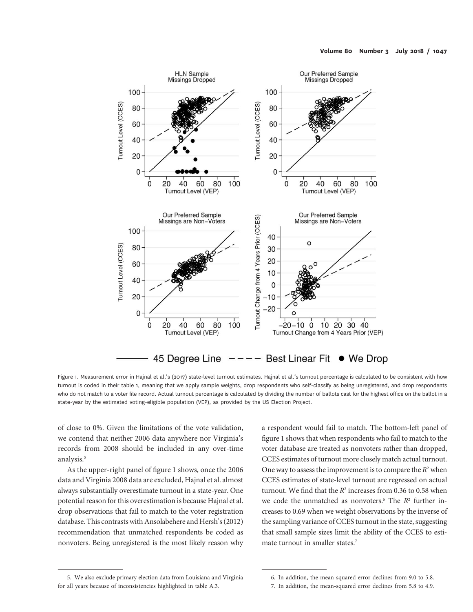

Figure 1. Measurement error in Hajnal et al.'s (2017) state-level turnout estimates. Hajnal et al.'s turnout percentage is calculated to be consistent with how turnout is coded in their table 1, meaning that we apply sample weights, drop respondents who self-classify as being unregistered, and drop respondents who do not match to a voter file record. Actual turnout percentage is calculated by dividing the number of ballots cast for the highest office on the ballot in a state-year by the estimated voting-eligible population (VEP), as provided by the US Election Project.

of close to 0%. Given the limitations of the vote validation, we contend that neither 2006 data anywhere nor Virginia's records from 2008 should be included in any over-time analysis.<sup>5</sup>

As the upper-right panel of figure 1 shows, once the 2006 data and Virginia 2008 data are excluded, Hajnal et al. almost always substantially overestimate turnout in a state-year. One potential reason for this overestimation is because Hajnal et al. drop observations that fail to match to the voter registration database. This contrasts with Ansolabehere and Hersh's (2012) recommendation that unmatched respondents be coded as nonvoters. Being unregistered is the most likely reason why a respondent would fail to match. The bottom-left panel of figure 1 shows that when respondents who fail to match to the voter database are treated as nonvoters rather than dropped, CCES estimates of turnout more closely match actual turnout. One way to assess the improvement is to compare the  $R^2$  when CCES estimates of state-level turnout are regressed on actual turnout. We find that the  $R^2$  increases from 0.36 to 0.58 when we code the unmatched as nonvoters.<sup>6</sup> The  $R<sup>2</sup>$  further increases to 0.69 when we weight observations by the inverse of the sampling variance of CCES turnout in the state, suggesting that small sample sizes limit the ability of the CCES to estimate turnout in smaller states.<sup>7</sup>

<sup>5.</sup> We also exclude primary election data from Louisiana and Virginia for all years because of inconsistencies highlighted in table A.3.

<sup>6.</sup> In addition, the mean-squared error declines from 9.0 to 5.8.

<sup>7.</sup> In addition, the mean-squared error declines from 5.8 to 4.9.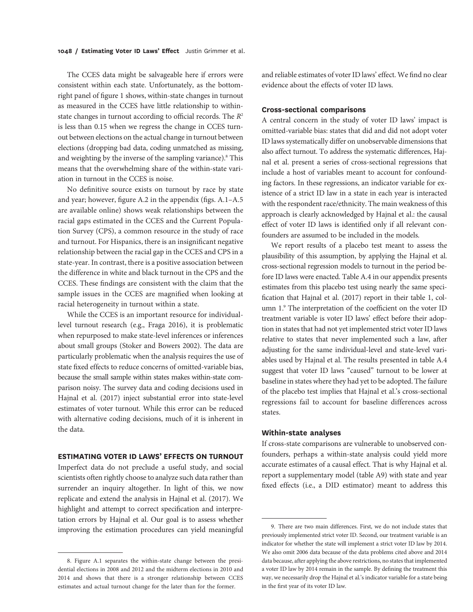The CCES data might be salvageable here if errors were consistent within each state. Unfortunately, as the bottomright panel of figure 1 shows, within-state changes in turnout as measured in the CCES have little relationship to withinstate changes in turnout according to official records. The  $R^2$ is less than 0.15 when we regress the change in CCES turnout between elections on the actual change in turnout between elections (dropping bad data, coding unmatched as missing, and weighting by the inverse of the sampling variance).<sup>8</sup> This means that the overwhelming share of the within-state variation in turnout in the CCES is noise.

No definitive source exists on turnout by race by state and year; however, figure A.2 in the appendix (figs. A.1–A.5 are available online) shows weak relationships between the racial gaps estimated in the CCES and the Current Population Survey (CPS), a common resource in the study of race and turnout. For Hispanics, there is an insignificant negative relationship between the racial gap in the CCES and CPS in a state-year. In contrast, there is a positive association between the difference in white and black turnout in the CPS and the CCES. These findings are consistent with the claim that the sample issues in the CCES are magnified when looking at racial heterogeneity in turnout within a state.

While the CCES is an important resource for individuallevel turnout research (e.g., Fraga 2016), it is problematic when repurposed to make state-level inferences or inferences about small groups (Stoker and Bowers 2002). The data are particularly problematic when the analysis requires the use of state fixed effects to reduce concerns of omitted-variable bias, because the small sample within states makes within-state comparison noisy. The survey data and coding decisions used in Hajnal et al. (2017) inject substantial error into state-level estimates of voter turnout. While this error can be reduced with alternative coding decisions, much of it is inherent in the data.

#### ESTIMATING VOTER ID LAWS' EFFECTS ON TURNOUT

Imperfect data do not preclude a useful study, and social scientists often rightly choose to analyze such data rather than surrender an inquiry altogether. In light of this, we now replicate and extend the analysis in Hajnal et al. (2017). We highlight and attempt to correct specification and interpretation errors by Hajnal et al. Our goal is to assess whether improving the estimation procedures can yield meaningful and reliable estimates of voter ID laws' effect. We find no clear evidence about the effects of voter ID laws.

#### Cross-sectional comparisons

A central concern in the study of voter ID laws' impact is omitted-variable bias: states that did and did not adopt voter ID laws systematically differ on unobservable dimensions that also affect turnout. To address the systematic differences, Hajnal et al. present a series of cross-sectional regressions that include a host of variables meant to account for confounding factors. In these regressions, an indicator variable for existence of a strict ID law in a state in each year is interacted with the respondent race/ethnicity. The main weakness of this approach is clearly acknowledged by Hajnal et al.: the causal effect of voter ID laws is identified only if all relevant confounders are assumed to be included in the models.

We report results of a placebo test meant to assess the plausibility of this assumption, by applying the Hajnal et al. cross-sectional regression models to turnout in the period before ID laws were enacted. Table A.4 in our appendix presents estimates from this placebo test using nearly the same specification that Hajnal et al. (2017) report in their table 1, column 1.9 The interpretation of the coefficient on the voter ID treatment variable is voter ID laws' effect before their adoption in states that had not yet implemented strict voter ID laws relative to states that never implemented such a law, after adjusting for the same individual-level and state-level variables used by Hajnal et al. The results presented in table A.4 suggest that voter ID laws "caused" turnout to be lower at baseline in states where they had yet to be adopted. The failure of the placebo test implies that Hajnal et al.'s cross-sectional regressions fail to account for baseline differences across states.

#### Within-state analyses

If cross-state comparisons are vulnerable to unobserved confounders, perhaps a within-state analysis could yield more accurate estimates of a causal effect. That is why Hajnal et al. report a supplementary model (table A9) with state and year fixed effects (i.e., a DID estimator) meant to address this

<sup>8.</sup> Figure A.1 separates the within-state change between the presidential elections in 2008 and 2012 and the midterm elections in 2010 and 2014 and shows that there is a stronger relationship between CCES estimates and actual turnout change for the later than for the former.

<sup>9.</sup> There are two main differences. First, we do not include states that previously implemented strict voter ID. Second, our treatment variable is an indicator for whether the state will implement a strict voter ID law by 2014. We also omit 2006 data because of the data problems cited above and 2014 data because, after applying the above restrictions, no states that implemented a voter ID law by 2014 remain in the sample. By defining the treatment this way, we necessarily drop the Hajnal et al.'s indicator variable for a state being in the first year of its voter ID law.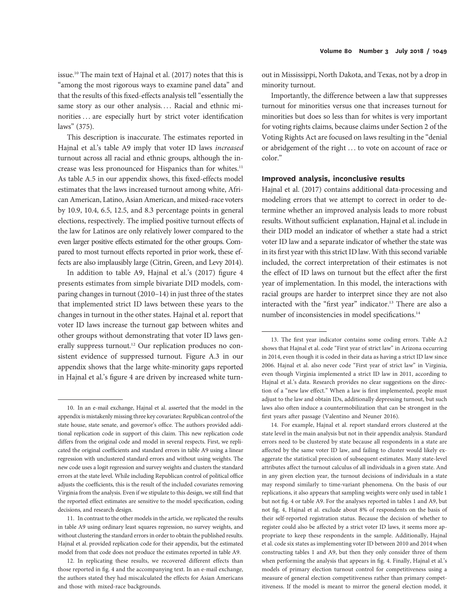issue.10 The main text of Hajnal et al. (2017) notes that this is "among the most rigorous ways to examine panel data" and that the results of this fixed-effects analysis tell"essentially the same story as our other analysis.... Racial and ethnic minorities ... are especially hurt by strict voter identification laws" (375).

This description is inaccurate. The estimates reported in Hajnal et al.'s table A9 imply that voter ID laws increased turnout across all racial and ethnic groups, although the increase was less pronounced for Hispanics than for whites.<sup>11</sup> As table A.5 in our appendix shows, this fixed-effects model estimates that the laws increased turnout among white, African American, Latino, Asian American, and mixed-race voters by 10.9, 10.4, 6.5, 12.5, and 8.3 percentage points in general elections, respectively. The implied positive turnout effects of the law for Latinos are only relatively lower compared to the even larger positive effects estimated for the other groups. Compared to most turnout effects reported in prior work, these effects are also implausibly large (Citrin, Green, and Levy 2014).

In addition to table A9, Hajnal et al.'s (2017) figure 4 presents estimates from simple bivariate DID models, comparing changes in turnout (2010–14) in just three of the states that implemented strict ID laws between these years to the changes in turnout in the other states. Hajnal et al. report that voter ID laws increase the turnout gap between whites and other groups without demonstrating that voter ID laws generally suppress turnout.12 Our replication produces no consistent evidence of suppressed turnout. Figure A.3 in our appendix shows that the large white-minority gaps reported in Hajnal et al.'s figure 4 are driven by increased white turnout in Mississippi, North Dakota, and Texas, not by a drop in minority turnout.

Importantly, the difference between a law that suppresses turnout for minorities versus one that increases turnout for minorities but does so less than for whites is very important for voting rights claims, because claims under Section 2 of the Voting Rights Act are focused on laws resulting in the "denial or abridgement of the right . . . to vote on account of race or color."

#### Improved analysis, inconclusive results

Hajnal et al. (2017) contains additional data-processing and modeling errors that we attempt to correct in order to determine whether an improved analysis leads to more robust results. Without sufficient explanation, Hajnal et al. include in their DID model an indicator of whether a state had a strict voter ID law and a separate indicator of whether the state was in its first year with this strict ID law. With this second variable included, the correct interpretation of their estimates is not the effect of ID laws on turnout but the effect after the first year of implementation. In this model, the interactions with racial groups are harder to interpret since they are not also interacted with the "first year" indicator.<sup>13</sup> There are also a number of inconsistencies in model specifications.<sup>14</sup>

14. For example, Hajnal et al. report standard errors clustered at the state level in the main analysis but not in their appendix analysis. Standard errors need to be clustered by state because all respondents in a state are affected by the same voter ID law, and failing to cluster would likely exaggerate the statistical precision of subsequent estimates. Many state-level attributes affect the turnout calculus of all individuals in a given state. And in any given election year, the turnout decisions of individuals in a state may respond similarly to time-variant phenomena. On the basis of our replications, it also appears that sampling weights were only used in table 1 but not fig. 4 or table A9. For the analyses reported in tables 1 and A9, but not fig. 4, Hajnal et al. exclude about 8% of respondents on the basis of their self-reported registration status. Because the decision of whether to register could also be affected by a strict voter ID laws, it seems more appropriate to keep these respondents in the sample. Additionally, Hajnal et al. code six states as implementing voter ID between 2010 and 2014 when constructing tables 1 and A9, but then they only consider three of them when performing the analysis that appears in fig. 4. Finally, Hajnal et al.'s models of primary election turnout control for competitiveness using a measure of general election competitiveness rather than primary competitiveness. If the model is meant to mirror the general election model, it

<sup>10.</sup> In an e-mail exchange, Hajnal et al. asserted that the model in the appendix is mistakenly missing three key covariates: Republican control of the state house, state senate, and governor's office. The authors provided additional replication code in support of this claim. This new replication code differs from the original code and model in several respects. First, we replicated the original coefficients and standard errors in table A9 using a linear regression with unclustered standard errors and without using weights. The new code uses a logit regression and survey weights and clusters the standard errors at the state level. While including Republican control of political office adjusts the coefficients, this is the result of the included covariates removing Virginia from the analysis. Even if we stipulate to this design, we still find that the reported effect estimates are sensitive to the model specification, coding decisions, and research design.

<sup>11.</sup> In contrast to the other models in the article, we replicated the results in table A9 using ordinary least squares regression, no survey weights, and without clustering the standard errors in order to obtain the published results. Hajnal et al. provided replication code for their appendix, but the estimated model from that code does not produce the estimates reported in table A9.

<sup>12.</sup> In replicating these results, we recovered different effects than those reported in fig. 4 and the accompanying text. In an e-mail exchange, the authors stated they had miscalculated the effects for Asian Americans and those with mixed-race backgrounds.

<sup>13.</sup> The first year indicator contains some coding errors. Table A.2 shows that Hajnal et al. code "First year of strict law" in Arizona occurring in 2014, even though it is coded in their data as having a strict ID law since 2006. Hajnal et al. also never code "First year of strict law" in Virginia, even though Virginia implemented a strict ID law in 2011, according to Hajnal et al.'s data. Research provides no clear suggestions on the direction of a "new law effect." When a law is first implemented, people must adjust to the law and obtain IDs, additionally depressing turnout, but such laws also often induce a countermobilization that can be strongest in the first years after passage (Valentino and Neuner 2016).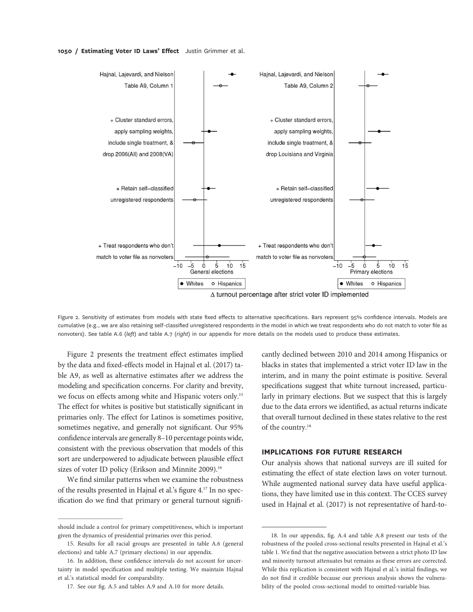#### 1050 / Estimating Voter ID Laws' Effect Justin Grimmer et al.



Figure 2. Sensitivity of estimates from models with state fixed effects to alternative specifications. Bars represent 95% confidence intervals. Models are cumulative (e.g., we are also retaining self-classified unregistered respondents in the model in which we treat respondents who do not match to voter file as nonvoters). See table A.6 (left) and table A.7 (right) in our appendix for more details on the models used to produce these estimates.

Figure 2 presents the treatment effect estimates implied by the data and fixed-effects model in Hajnal et al. (2017) table A9, as well as alternative estimates after we address the modeling and specification concerns. For clarity and brevity, we focus on effects among white and Hispanic voters only.<sup>15</sup> The effect for whites is positive but statistically significant in primaries only. The effect for Latinos is sometimes positive, sometimes negative, and generally not significant. Our 95% confidence intervals are generally 8–10 percentage points wide, consistent with the previous observation that models of this sort are underpowered to adjudicate between plausible effect sizes of voter ID policy (Erikson and Minnite 2009).<sup>16</sup>

We find similar patterns when we examine the robustness of the results presented in Hajnal et al.'s figure 4.17 In no specification do we find that primary or general turnout significantly declined between 2010 and 2014 among Hispanics or blacks in states that implemented a strict voter ID law in the interim, and in many the point estimate is positive. Several specifications suggest that white turnout increased, particularly in primary elections. But we suspect that this is largely due to the data errors we identified, as actual returns indicate that overall turnout declined in these states relative to the rest of the country.18

#### IMPLICATIONS FOR FUTURE RESEARCH

Our analysis shows that national surveys are ill suited for estimating the effect of state election laws on voter turnout. While augmented national survey data have useful applications, they have limited use in this context. The CCES survey used in Hajnal et al. (2017) is not representative of hard-to-

should include a control for primary competitiveness, which is important given the dynamics of presidential primaries over this period.

<sup>15.</sup> Results for all racial groups are presented in table A.6 (general elections) and table A.7 (primary elections) in our appendix.

<sup>16.</sup> In addition, these confidence intervals do not account for uncertainty in model specification and multiple testing. We maintain Hajnal et al.'s statistical model for comparability.

<sup>17.</sup> See our fig. A.5 and tables A.9 and A.10 for more details.

<sup>18.</sup> In our appendix, fig. A.4 and table A.8 present our tests of the robustness of the pooled cross-sectional results presented in Hajnal et al.'s table 1. We find that the negative association between a strict photo ID law and minority turnout attenuates but remains as these errors are corrected. While this replication is consistent with Hajnal et al.'s initial findings, we do not find it credible because our previous analysis shows the vulnerability of the pooled cross-sectional model to omitted-variable bias.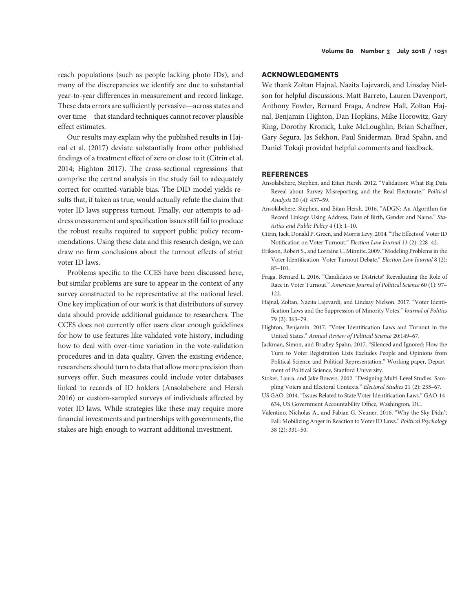reach populations (such as people lacking photo IDs), and many of the discrepancies we identify are due to substantial year-to-year differences in measurement and record linkage. These data errors are sufficiently pervasive—across states and over time—that standard techniques cannot recover plausible effect estimates.

Our results may explain why the published results in Hajnal et al. (2017) deviate substantially from other published findings of a treatment effect of zero or close to it (Citrin et al. 2014; Highton 2017). The cross-sectional regressions that comprise the central analysis in the study fail to adequately correct for omitted-variable bias. The DID model yields results that, if taken as true, would actually refute the claim that voter ID laws suppress turnout. Finally, our attempts to address measurement and specification issues still fail to produce the robust results required to support public policy recommendations. Using these data and this research design, we can draw no firm conclusions about the turnout effects of strict voter ID laws.

Problems specific to the CCES have been discussed here, but similar problems are sure to appear in the context of any survey constructed to be representative at the national level. One key implication of our work is that distributors of survey data should provide additional guidance to researchers. The CCES does not currently offer users clear enough guidelines for how to use features like validated vote history, including how to deal with over-time variation in the vote-validation procedures and in data quality. Given the existing evidence, researchers should turn to data that allow more precision than surveys offer. Such measures could include voter databases linked to records of ID holders (Ansolabehere and Hersh 2016) or custom-sampled surveys of individuals affected by voter ID laws. While strategies like these may require more financial investments and partnerships with governments, the stakes are high enough to warrant additional investment.

#### ACKNOWLEDGMENTS

We thank Zoltan Hajnal, Nazita Lajevardi, and Linsday Nielson for helpful discussions. Matt Barreto, Lauren Davenport, Anthony Fowler, Bernard Fraga, Andrew Hall, Zoltan Hajnal, Benjamin Highton, Dan Hopkins, Mike Horowitz, Gary King, Dorothy Kronick, Luke McLoughlin, Brian Schaffner, Gary Segura, Jas Sekhon, Paul Sniderman, Brad Spahn, and Daniel Tokaji provided helpful comments and feedback.

#### **REFERENCES**

- Ansolabehere, Stephen, and Eitan Hersh. 2012. "Validation: What Big Data Reveal about Survey Misreporting and the Real Electorate." Political Analysis 20 (4): 437–59.
- Ansolabehere, Stephen, and Eitan Hersh. 2016. "ADGN: An Algorithm for Record Linkage Using Address, Date of Birth, Gender and Name." Statistics and Public Policy 4 (1): 1–10.
- Citrin, Jack, Donald P. Green, and Morris Levy. 2014."The Effects of Voter ID Notification on Voter Turnout." Election Law Journal 13 (2): 228–42.
- Erikson, Robert S., and Lorraine C. Minnite. 2009."Modeling Problems in the Voter Identification–Voter Turnout Debate." Election Law Journal 8 (2): 85–101.
- Fraga, Bernard L. 2016. "Candidates or Districts? Reevaluating the Role of Race in Voter Turnout." American Journal of Political Science 60 (1): 97– 122.
- Hajnal, Zoltan, Nazita Lajevardi, and Lindsay Nielson. 2017. "Voter Identification Laws and the Suppression of Minority Votes." Journal of Politics 79 (2): 363–79.
- Highton, Benjamin. 2017. "Voter Identification Laws and Turnout in the United States." Annual Review of Political Science 20:149–67.
- Jackman, Simon, and Bradley Spahn. 2017. "Silenced and Ignored: How the Turn to Voter Registration Lists Excludes People and Opinions from Political Science and Political Representation." Working paper, Department of Political Science, Stanford University.
- Stoker, Laura, and Jake Bowers. 2002. "Designing Multi-Level Studies: Sampling Voters and Electoral Contexts." Electoral Studies 21 (2): 235–67.
- US GAO. 2014. "Issues Related to State Voter Identification Laws." GAO-14- 634, US Government Accountability Office, Washington, DC.
- Valentino, Nicholas A., and Fabian G. Neuner. 2016. "Why the Sky Didn't Fall: Mobilizing Anger in Reaction to Voter ID Laws." Political Psychology 38 (2): 331–50.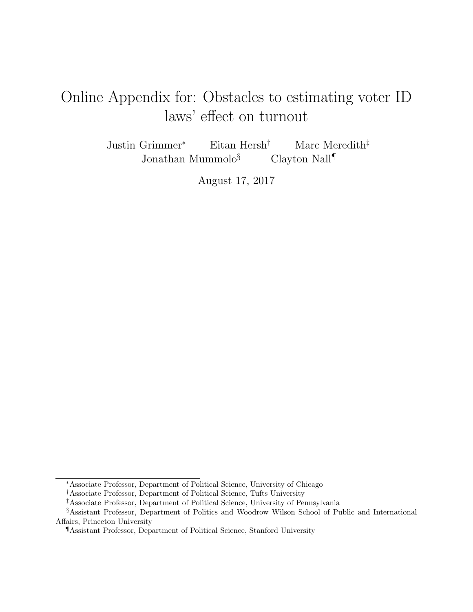# Online Appendix for: Obstacles to estimating voter ID laws' effect on turnout

Justin Grimmer<sup>∗</sup> Eitan Hersh† Marc Meredith‡ Jonathan Mummolo§ Clayton Nall¶

August 17, 2017

<sup>∗</sup>Associate Professor, Department of Political Science, University of Chicago

<sup>†</sup>Associate Professor, Department of Political Science, Tufts University

<sup>‡</sup>Associate Professor, Department of Political Science, University of Pennsylvania

<sup>§</sup>Assistant Professor, Department of Politics and Woodrow Wilson School of Public and International Affairs, Princeton University

<sup>¶</sup>Assistant Professor, Department of Political Science, Stanford University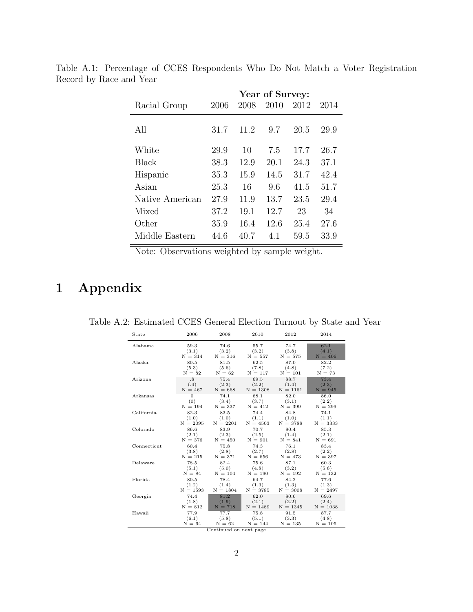|                 |      |      | Year of Survey: |      |      |
|-----------------|------|------|-----------------|------|------|
| Racial Group    | 2006 | 2008 | 2010            | 2012 | 2014 |
| All             | 31.7 | 11.2 | 9.7             | 20.5 | 29.9 |
| White           | 29.9 | 10   | 7.5             | 17.7 | 26.7 |
| <b>Black</b>    | 38.3 | 12.9 | 20.1            | 24.3 | 37.1 |
| Hispanic        | 35.3 | 15.9 | 14.5            | 31.7 | 42.4 |
| Asian           | 25.3 | 16   | 9.6             | 41.5 | 51.7 |
| Native American | 27.9 | 11.9 | 13.7            | 23.5 | 29.4 |
| Mixed           | 37.2 | 19.1 | 12.7            | 23   | 34   |
| Other           | 35.9 | 16.4 | 12.6            | 25.4 | 27.6 |
| Middle Eastern  | 44.6 | 40.7 | 41              | 59.5 | 33.9 |

Table A.1: Percentage of CCES Respondents Who Do Not Match a Voter Registration Record by Race and Year

Note: Observations weighted by sample weight.

## 1 Appendix

Table A.2: Estimated CCES General Election Turnout by State and Year

| State       | 2006           | 2008                   | 2010       | 2012       | 2014       |
|-------------|----------------|------------------------|------------|------------|------------|
| Alabama     | 59.3           | 74.6                   | 55.7       | 74.7       | 62.1       |
|             | (3.1)          | (3.2)                  | (3.2)      | (3.8)      | (4.1)      |
|             | $N = 314$      | $N = 316$              | $N = 557$  | $N = 575$  | $N = 406$  |
| Alaska      | 80.5           | 81.5                   | 62.5       | 87.0       | 82.2       |
|             | (5.3)          | (5.6)                  | (7.8)      | (4.8)      | (7.2)      |
|             | $N = 82$       | $N = 62$               | $N = 117$  | $N = 101$  | $N = 73$   |
| Arizona     | .8             | 75.4                   | 69.5       | 88.7       | 73.4       |
|             | (.4)           | (2.3)                  | (2.2)      | (1.4)      | (2.3)      |
|             | $N = 467$      | $N = 668$              | $N = 1308$ | $N = 1161$ | $N = 945$  |
| Arkansas    | $\overline{0}$ | 74.1                   | 68.1       | 82.0       | 86.0       |
|             | (0)            | (3.4)                  | (3.7)      | (3.1)      | (2.2)      |
|             | $N = 194$      | $N = 337$              | $N = 412$  | $N = 399$  | $N = 299$  |
| California  | 82.3           | 83.5                   | 74.4       | 84.8       | 74.1       |
|             | (1.0)          | (1.0)                  | (1.1)      | (1.0)      | (1.1)      |
|             | $N = 2095$     | $N = 2201$             | $N = 4503$ | $N = 3788$ | $N = 3333$ |
| Colorado    | 86.6           | 83.9                   | 70.7       | 90.4       | 85.3       |
|             | (2.1)          | (2.3)                  | (2.5)      | (1.4)      | (2.1)      |
|             | $N = 376$      | $N = 450$              | $N = 901$  | $N = 841$  | $N = 691$  |
| Connecticut | 60.4           | 75.8                   | 74.3       | 76.1       | 83.4       |
|             | (3.8)          | (2.8)                  | (2.7)      | (2.8)      | (2.2)      |
|             | $N = 215$      | $N = 371$              | $N = 656$  | $N = 473$  | $N = 397$  |
| Delaware    | 78.5           | 82.4                   | 75.6       | 87.1       | 60.3       |
|             | (5.1)          | (5.0)                  | (4.8)      | (3.2)      | (5.6)      |
|             | $N = 84$       | $N = 104$              | $N = 190$  | $N = 192$  | $N = 132$  |
| Florida     | 80.5           | 78.4                   | 64.7       | 84.2       | 77.6       |
|             | (1.2)          | (1.4)                  | (1.3)      | (1.3)      | (1.3)      |
|             | $N = 1593$     | $N = 1804$             | $N = 3785$ | $N = 3008$ | $N = 2497$ |
| Georgia     | 74.4           | 81.2                   | 62.0       | 80.6       | 69.6       |
|             | (1.8)          | (1.9)                  | (2.1)      | (2.2)      | (2.4)      |
|             | $N = 812$      | $N = 718$              | $N = 1489$ | $N = 1345$ | $N = 1038$ |
| Hawaii      | 77.9           | 77.7                   | 75.8       | 91.5       | 87.7       |
|             | (6.1)          | (5.8)                  | (5.1)      | (3.3)      | (4.8)      |
|             | $N = 64$       | $N = 62$               | $N = 144$  | $N = 135$  | $N = 105$  |
|             |                | Continued on next page |            |            |            |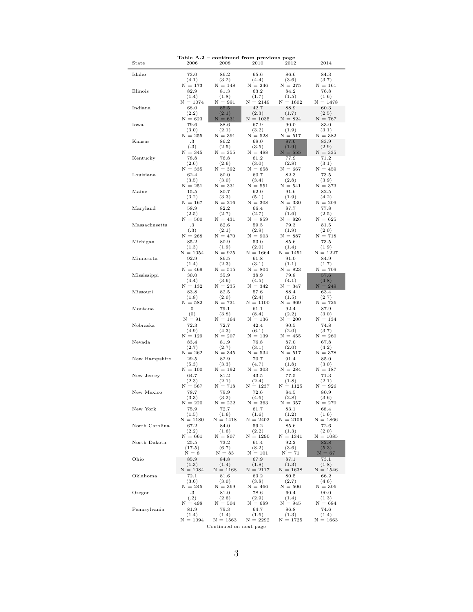| State                  | 2006                | 2008                | Table $A.2$ – continued from previous page<br>2010 | 2012                | 2014                |
|------------------------|---------------------|---------------------|----------------------------------------------------|---------------------|---------------------|
| Idaho                  | 73.0<br>(4.1)       | 86.2<br>(3.2)       | 65.6<br>(4.4)                                      | 86.6<br>(3.6)       | 84.3<br>(3.7)       |
|                        | $N = 173$           | $N = 148$           | $N = 246$                                          | $N = 275$           | $N = 161$           |
| Illinois               | 82.9                | 81.3                | 63.2                                               | 84.2                | 76.8                |
|                        | (1.4)               | (1.8)               | (1.7)                                              | (1.5)               | (1.6)               |
|                        | $N = 1074$          | $N = 991$           | $N = 2149$                                         | $N = 1602$          | $N = 1478$          |
| Indiana                | 68.0                | 85.5                | 42.7                                               | 88.9                | 60.3                |
|                        | (2.2)<br>$N = 623$  | (2.1)<br>$N = 631$  | (2.3)<br>$N = 1035$                                | (1.7)<br>$N = 824$  | (2.5)<br>$N = 767$  |
| Iowa                   | 79.6                | 88.6                | 67.9                                               | 90.0                | 83.0                |
|                        | (3.0)               | (2.1)               | (3.2)                                              | (1.9)               | (3.1)               |
|                        | $N = 255$           | $N = 391$           | $N = 528$                                          | $N = 517$           | $N = 382$           |
| Kansas                 | $_{\cdot 3}$        | 86.2                | 68.0                                               | 87.6                | 83.9                |
|                        | (.3)                | (2.5)               | (3.5)                                              | (1.9)               | (2.9)               |
|                        | $N = 345$<br>78.8   | $N = 355$<br>76.8   | $N = 488$<br>61.2                                  | $N = 555$           | $N = 335$           |
| Kentucky               | (2.6)               | (2.6)               | (3.0)                                              | 77.9<br>(2.8)       | 71.2<br>(3.1)       |
|                        | $N = 335$           | $N = 392$           | $N = 658$                                          | $N = 667$           | $N = 459$           |
| Louisiana              | 62.4                | 80.0                | 60.7                                               | 82.3                | 73.5                |
|                        | (3.5)               | (3.0)               | (3.4)                                              | (2.8)               | (3.9)               |
|                        | $N = 251$           | $N = 331$           | $N = 551$                                          | $N = 541$           | $N = 373$           |
| Maine                  | 15.5                | 80.7                | 62.0                                               | 91.6                | 82.5                |
|                        | (3.2)               | (3.3)               | (5.1)                                              | (1.9)               | (4.2)               |
|                        | $N = 167$           | $N = 216$           | $N = 308$                                          | $N = 330$           | $N = 209$           |
| Maryland               | 58.9<br>(2.5)       | 82.2<br>(2.7)       | 66.4<br>(2.7)                                      | 87.7<br>(1.6)       | 77.8<br>(2.5)       |
|                        | $N = 500$           | $N = 431$           | $N = 859$                                          | $N = 826$           | $N = 625$           |
| Massachusetts          | $.3\,$              | 82.6                | 59.5                                               | 79.3                | 81.5                |
|                        | (.3)                | (2.1)               | (2.9)                                              | (1.9)               | (2.0)               |
|                        | $N = 268$           | $N = 470$           | $N = 903$                                          | $N = 887$           | $N = 718$           |
| Michigan               | $85.2\,$            | 80.9                | 53.0                                               | 85.6                | 73.5                |
|                        | (1.3)               | (1.9)               | (2.0)                                              | (1.4)               | (1.9)               |
|                        | $N = 1054$          | $N = 925$           | $N = 1664$                                         | $N = 1451$          | $N = 1227$          |
| Minnesota              | 92.9<br>(1.4)       | 86.5<br>(2.3)       | 61.8<br>(3.1)                                      | 91.0<br>(1.1)       | 84.9<br>(1.7)       |
|                        | $N = 469$           | $N = 515$           | $N = 804$                                          | $N = 823$           | $N = 709$           |
| Mississippi            | 30.0                | 35.9                | 38.9                                               | 79.8                | 57.6                |
|                        | (4.4)               | (3.6)               | (4.5)                                              | (4.1)               | (4.8)               |
|                        | $N = 132$           | $N = 235$           | $N = 342$                                          | $N = 347$           | $N = 249$           |
| Missouri               | 83.8                | 82.5                | 57.6                                               | 88.4                | 63.4                |
|                        | (1.8)               | (2.0)               | (2.4)                                              | (1.5)               | (2.7)               |
|                        | $N = 582$           | $N = 731$           | $N = 1100$                                         | $N = 969$           | $N = 726$           |
| Montana                | $\mathbf{0}$<br>(0) | 79.1<br>(3.8)       | 61.1<br>(8.4)                                      | 92.4<br>(2.2)       | 87.9<br>(3.0)       |
|                        | $N = 91$            | $N = 164$           | $N = 136$                                          | $N = 200$           | $N = 134$           |
| Nebraska               | 72.3                | 72.7                | 42.4                                               | 90.5                | 74.8                |
|                        | (4.9)               | (4.3)               | (6.1)                                              | (2.0)               | (3.7)               |
|                        | $N = 129$           | $N = 207$           | $N = 139$                                          | $N = 455$           | $N = 260$           |
| Nevada                 | 83.4                | 81.9                | 76.8                                               | 87.0                | 67.8                |
|                        | (2.7)               | (2.7)               | (3.1)                                              | (2.0)               | (4.2)               |
|                        | $N = 262$           | $N = 345$           | $N = 534$                                          | $N = 517$           | $N = 378$           |
| New Hampshire          | 29.5                | 82.9                | 70.7                                               | 91.4<br>(1.8)       | 85.0                |
|                        | (5.3)<br>$N = 100$  | (3.3)<br>$N = 192$  | (4.7)<br>$N = 303$                                 | $N = 284$           | (3.0)<br>$N = 187$  |
| New Jersey             | 64.7                | 81.2                | 43.5                                               | 77.5                | 71.3                |
|                        | (2.3)               | (2.1)               | (2.4)                                              | (1.8)               | (2.1)               |
|                        | $N = 567$           | $N = 718$           | $N = 1237$                                         | $N = 1125$          | $N = 926$           |
| New Mexico             | 78.7                | 79.9                | 72.6                                               | 84.5                | 80.9                |
|                        | (3.3)               | (3.2)               | (4.6)                                              | (2.8)               | (3.6)               |
|                        | $N = 220$           | $\rm N\, =\, 222$   | $N = 363$                                          | $N = 357$           | $N = 270$           |
| New York               | 75.9                | 72.7                | 61.7                                               | 83.1                | 68.4                |
|                        | (1.5)<br>$N = 1180$ | (1.6)<br>$N = 1418$ | (1.6)<br>$N = 2402$                                | (1.2)<br>$N = 2109$ | (1.6)<br>$N = 1866$ |
| North Carolina         | 67.2                | 84.0                | 59.2                                               | 85.6                | $72.6\,$            |
|                        | (2.2)               | (1.6)               | (2.2)                                              | (1.3)               | (2.0)               |
|                        | $N = 661$           | $N = 807$           | $N = 1290$                                         | $N = 1341$          | $N = 1085$          |
| North Dakota           | 25.5                | 73.2                | 61.4                                               | 92.2                | 82.8                |
|                        | (17.5)              | (6.7)               | (8.2)                                              | (3.6)               | (5.3)               |
|                        | $N = 8$             | $N = 83$            | $N = 101$                                          | $N = 71$            | $N = 67$            |
| Ohio                   | 85.9                | 84.8                | 67.9                                               | 87.1                | 73.1                |
|                        | (1.3)<br>$N = 1084$ | (1.4)<br>$N = 1168$ | (1.8)<br>$N = 2117$                                | (1.3)<br>$N = 1638$ | (1.8)<br>$N = 1546$ |
| Oklahoma               | 72.1                | 81.6                | 63.2                                               | 80.5                | 66.2                |
|                        | (3.6)               | (3.0)               | (3.8)                                              | (2.7)               | (4.6)               |
|                        | $N = 245$           | $N = 369$           | $N = 466$                                          | $N = 506$           | $N = 306$           |
|                        | $.3\,$              | 81.0                | 78.6                                               | 90.4                | 90.0                |
|                        |                     |                     |                                                    |                     | (1.3)               |
|                        | (.2)                | (2.6)               | (2.9)                                              | (1.4)               |                     |
|                        | $N = 498$           | $N = 504$           | $N = 689$                                          | $N = 945$           | $N = 684$           |
| Oregon<br>Pennsylvania | 81.9<br>(1.4)       | 79.3<br>(1.4)       | 64.7<br>(1.6)                                      | 86.8<br>(1.3)       | 74.6<br>(1.4)       |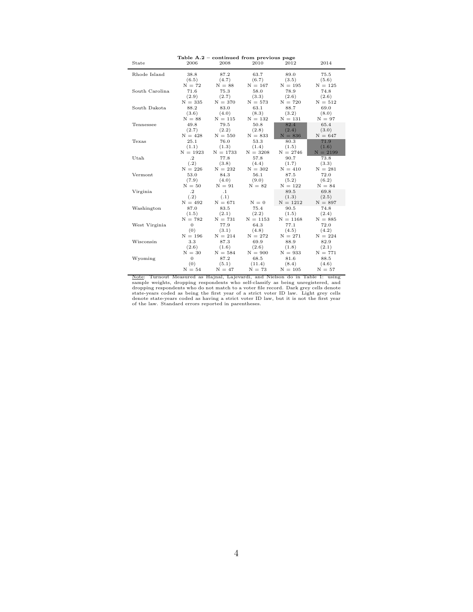| State          | 2006                                      | 2008                           | Table $A.2$ – continued from previous page<br>2010 | 2012                        | 2014                       |
|----------------|-------------------------------------------|--------------------------------|----------------------------------------------------|-----------------------------|----------------------------|
| Rhode Island   | 38.8                                      | 87.2                           | 63.7                                               | 89.0                        | 75.5                       |
|                | (6.5)                                     | (4.7)                          | (6.7)                                              | (3.5)                       | (5.6)                      |
|                | $N = 72$                                  | $N = 88$                       | $N = 167$                                          | $N = 195$                   | $N = 125$                  |
| South Carolina | 71.6                                      | 75.3                           | 58.0                                               | 78.9                        | 74.8                       |
|                | (2.9)                                     | (2.7)                          | (3.3)                                              | (2.6)                       | (2.6)                      |
|                | $N = 335$                                 | $N = 370$                      | $N = 573$                                          | $N = 720$                   | $N = 512$                  |
| South Dakota   | 88.2                                      | 83.0                           | 63.1                                               | 88.7                        | 69.0                       |
|                | (3.6)                                     | (4.0)                          | (8.3)                                              | (3.2)                       | (8.0)                      |
|                | $N = 88$                                  | $N = 115$                      | $N = 132$                                          | $N = 131$                   | $N = 97$                   |
| Tennessee      | 49.8                                      | 79.5                           | 50.8                                               | 82.4                        | 65.4                       |
|                | (2.7)                                     | (2.2)                          | (2.8)                                              | (2.4)                       | (3.0)                      |
|                | $N = 428$                                 | $N = 550$                      | $N = 833$                                          | $N = 836$                   | $N = 647$                  |
| Texas          | 25.1                                      | 76.0                           | 53.3                                               | 80.3                        | 71.9                       |
|                | (1.1)                                     | (1.3)                          | (1.4)                                              | (1.5)                       | (1.6)                      |
|                | $N = 1923$                                | $N = 1733$                     | $N = 3208$                                         | $N = 2746$                  | $N = 2199$                 |
| Utah           | $\cdot$ <sup>2</sup>                      | 77.8                           | 57.8                                               | 90.7                        | 73.8                       |
|                | (.2)                                      | (3.8)                          | (4.4)                                              | (1.7)                       | (3.3)                      |
|                | $N = 226$                                 | $N = 232$                      | $N = 302$                                          | $N = 410$                   | $N = 281$                  |
| Vermont        | 53.0                                      | 84.3                           | 56.1                                               | 87.5                        | 72.0                       |
|                | (7.9)                                     | (4.0)                          | (9.0)                                              | (5.2)                       | (6.2)                      |
|                | $N = 50$                                  | $N = 91$                       | $N = 82$                                           | $N = 122$                   | $N = 84$                   |
| Virginia       | $\cdot$ <sup>2</sup><br>(.2)<br>$N = 492$ | $\cdot$ 1<br>(.1)<br>$N = 671$ | $N = 0$                                            | 89.5<br>(1.3)<br>$N = 1212$ | 69.8<br>(2.5)<br>$N = 897$ |
| Washington     | 87.0                                      | 83.5                           | 75.4                                               | 90.5                        | 74.8                       |
|                | (1.5)                                     | (2.1)                          | (2.2)                                              | (1.5)                       | (2.4)                      |
|                | $N = 782$                                 | $N = 731$                      | $N = 1153$                                         | $N = 1168$                  | $N = 885$                  |
| West Virginia  | $\overline{0}$                            | 77.9                           | 64.3                                               | 77.1                        | 72.0                       |
|                | (0)                                       | (3.1)                          | (4.8)                                              | (4.5)                       | (4.2)                      |
|                | $N = 196$                                 | $N = 214$                      | $N = 272$                                          | $N = 271$                   | $N = 224$                  |
| Wisconsin      | 3.3                                       | 87.3                           | 69.9                                               | 88.9                        | 82.9                       |
|                | (2.6)                                     | (1.6)                          | (2.6)                                              | (1.8)                       | (2.1)                      |
|                | $N = 30$                                  | $N = 584$                      | $N = 900$                                          | $N = 933$                   | $N = 771$                  |
| Wyoming        | $\overline{0}$                            | 87.2                           | 68.5                                               | 81.6                        | 88.5                       |
|                | (0)                                       | (5.1)                          | (11.4)                                             | (8.4)                       | (4.6)                      |
|                | $N = 54$                                  | $N = 47$                       | $N = 73$                                           | $N = 105$                   | $N = 57$                   |

Note: Turnout Measured as Hajnal, Lajevardi, and Nielson do in Table 1: using<br>sample weights, dropping respondents who self-classify as being unregistered, and<br>dropping respondents who do not match to a voter file record.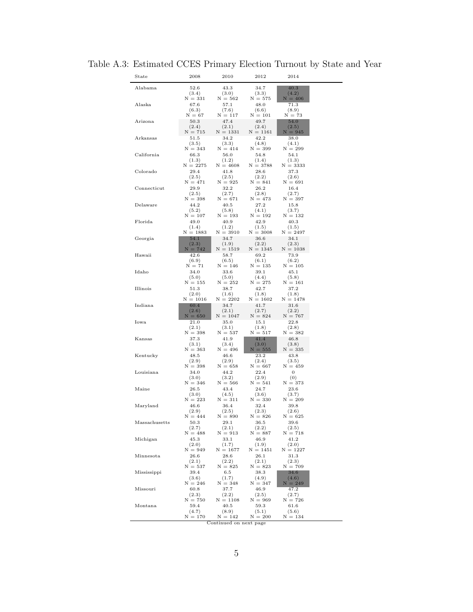| State         | 2008                | 2010                   | 2012                           | 2014                          |  |
|---------------|---------------------|------------------------|--------------------------------|-------------------------------|--|
| Alabama       | 52.6                | 43.3                   | 34.7                           | 40.3                          |  |
|               | (3.4)               | (3.0)                  | (3.3)                          | (4.2)                         |  |
| Alaska        | $N = 331$<br>67.6   | $N = 562$<br>57.1      | $N = 575$<br>48.0              | $N = 406$<br>71.3             |  |
|               | (6.3)               | (7.6)                  | (6.6)                          | (8.9)                         |  |
|               | $N = 67$            | $N = 117$              | $N = 101$                      | $N = 73$                      |  |
| Arizona       | 50.3<br>(2.4)       | 47.4<br>(2.1)          | 49.7<br>(2.4)                  | 54.0<br>(2.5)                 |  |
|               | $N = 715$           | $N = 1331$             | $N = 1161$                     | $N = 945$                     |  |
| Arkansas      | 51.5                | 34.2                   | 42.2                           | 38.0                          |  |
|               | (3.5)<br>$N = 343$  | (3.3)<br>$N = 414$     | (4.8)<br>$N = 399$             | (4.1)<br>$N = 299$            |  |
| California    | 66.3                | 56.0                   | 54.8                           | 54.1                          |  |
|               | (1.3)<br>$N = 2275$ | (1.2)                  | (1.4)                          | (1.3)                         |  |
| Colorado      | 29.4                | $N = 4608$<br>41.8     | $N = 3788$<br>28.6             | $N = 3333$<br>37.3            |  |
|               | (2.5)               | (2.5)                  | (2.2)                          | (2.6)                         |  |
| Connecticut   | $N = 471$<br>29.9   | $N = 925$<br>32.2      | $N = 841$<br>26.2              | $N = 691$<br>16.4             |  |
|               | (2.5)               | (2.7)                  | (2.8)                          | (2.7)                         |  |
|               | $N = 398$           | $N = 671$              | $N = 473$                      | $N = 397$                     |  |
| Delaware      | 44.2<br>(5.2)       | 40.5<br>(5.8)          | 27.2<br>(4.1)                  | 15.8<br>(3.7)                 |  |
|               | $N = 107$           | $N = 193$              | $N = 192$                      | $N = 132$                     |  |
| Florida       | 49.0                | 40.9                   | 42.9                           | 40.3                          |  |
|               | (1.4)<br>$N = 1883$ | (1.2)<br>$N = 3910$    | (1.5)<br>$N = 3008$            | (1.5)<br>$N = 2497$           |  |
| Georgia       | 54.1                | 34.7                   | 36.6                           | 34.1                          |  |
|               | (2.3)<br>$N = 742$  | (1.9)<br>$N = 1519$    | (2.2)<br>$N = 1345$            | (2.3)<br>$N = 1038$           |  |
| Hawaii        | 42.6                | 58.7                   | 69.2                           | 73.9                          |  |
|               | (6.9)               | (6.5)                  | (6.1)                          | (6.2)                         |  |
| Idaho         | $N = 71$<br>34.0    | $N = 146$<br>33.6      | $N = 135$<br>39.1              | $\rm N\, =\, 105$<br>45.1     |  |
|               | (5.0)               | (5.0)                  | (4.4)                          | (5.8)                         |  |
|               | $N = 155$           | $N = 252$              | $N = 275$                      | $N = 161$                     |  |
| Illinois      | 51.3<br>(2.0)       | 38.7<br>(1.6)          | 42.7<br>(1.8)                  | 37.2<br>(1.8)                 |  |
|               | $N = 1016$          | $N = 2202$             | $N = 1602$                     | $N = 1478$                    |  |
| Indiana       | 60.4                | 34.7                   | 41.7                           | 31.6                          |  |
|               | (2.6)<br>$N = 650$  | (2.1)<br>$N = 1047$    | (2.7)<br>$N = 824$             | (2.2)<br>$N = 767$            |  |
| Iowa          | $\overline{21}.0$   | 35.0                   | 15.1                           | 22.8                          |  |
|               | (2.1)<br>$N = 398$  | (3.1)<br>$N = 537$     | (1.8)<br>$N = 517$             | (2.8)<br>$N = 382$            |  |
| Kansas        | 37.3                | 41.9                   | 41.4                           | 46.8                          |  |
|               | (3.1)               | (3.4)                  | (3.0)                          | (3.8)                         |  |
| Kentucky      | $N = 363$<br>48.5   | $N = 496$<br>46.6      | $N = 555$<br>$23.\overline{2}$ | $N = 335$<br>43.8             |  |
|               | (2.9)               | (2.9)                  | (2.4)                          | (3.5)                         |  |
| Louisiana     | $N = 398$<br>34.0   | $N = 658$<br>44.2      | $N = 667$<br>22.4              | $N = 459$<br>$\boldsymbol{0}$ |  |
|               | (3.0)               | (3.2)                  | (2.9)                          | (0)                           |  |
|               | $N = 346$           | $N = 566$              | $N = 541$                      | $N = 373$                     |  |
| Maine         | 26.5<br>(3.0)       | 43.4<br>(4.5)          | 24.7<br>(3.6)                  | 23.6<br>(3.7)                 |  |
|               | $N = 223$           | $N = 311$              | $N = 330$                      | $N = 209$                     |  |
| Maryland      | 46.6                | 36.4                   | 32.4                           | 39.8                          |  |
|               | (2.9)<br>$N = 444$  | (2.5)<br>$N = 890$     | (2.3)<br>$N = 826$             | (2.6)<br>$N = 625$            |  |
| Massachusetts | 50.3                | 29.1                   | 36.5                           | 39.6                          |  |
|               | (2.7)<br>$N = 488$  | (2.1)<br>$N = 913$     | (2.2)<br>$N = 887$             | (2.5)<br>$N = 718$            |  |
| Michigan      | 45.3                | 33.1                   | 46.9                           | 41.2                          |  |
|               | (2.0)               | (1.7)                  | (1.9)                          | (2.0)                         |  |
| Minnesota     | $N = 949$<br>26.6   | $N = 1677$<br>28.6     | $N = 1451$<br>26.1             | $N = 1227$<br>31.3            |  |
|               | (2.1)               | (2.2)                  | (2.1)                          | (2.3)                         |  |
|               | $N = 537$<br>39.4   | $N = 825$              | $N = 823$                      | $N = 709$                     |  |
| Mississippi   | (3.6)               | 6.5<br>(1.7)           | 38.3<br>(4.9)                  | 34.6<br>(4.6)                 |  |
|               | $N = 246$           | $N = 348$              | $N = 347$                      | $N = 249$                     |  |
| Missouri      | 60.8<br>(2.3)       | 37.7<br>(2.2)          | 46.9<br>(2.5)                  | 47.2<br>(2.7)                 |  |
|               | $N = 750$           | $N = 1108$             | $N = 969$                      | $N = 726$                     |  |
| Montana       | 59.4                | 40.5                   | 59.3                           | 61.6                          |  |
|               | (4.7)<br>$N = 170$  | (8.9)<br>$N = 142$     | (5.1)<br>$N = 200$             | (5.6)<br>$N = 134$            |  |
|               |                     | Continued on next page |                                |                               |  |

Table A.3: Estimated CCES Primary Election Turnout by State and Year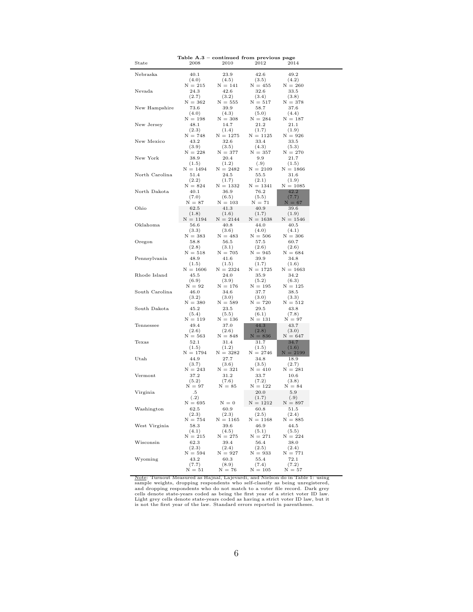| Nebraska       | 40.1                       | 23.9       | 42.6                       | 49.2                    |
|----------------|----------------------------|------------|----------------------------|-------------------------|
|                | (4.0)                      | (4.5)      | (3.5)                      | (4.2)                   |
| Nevada         | $N = 215$                  | $N = 141$  | $N = 455$                  | $N = 260$               |
|                | 24.3                       | 42.6       | 32.6                       | 33.5                    |
|                | (2.7)                      | (3.2)      | (3.4)                      | (3.8)                   |
| New Hampshire  | $N = 362$                  | $N = 555$  | $N = 517$                  | $N = 378$               |
|                | 73.6                       | 39.9       | 58.7                       | 37.6                    |
|                | (4.0)                      | (4.3)      | (5.0)                      | (4.4)                   |
| New Jersey     | $N = 198$                  | $N = 308$  | $N = 284$                  | $N = 187$               |
|                | 48.1                       | 14.7       | 21.2                       | 21.1                    |
|                | (2.3)                      | (1.4)      | (1.7)                      | (1.9)                   |
| New Mexico     | $N = 748$                  | $N = 1275$ | $N = 1125$                 | $N = 926$               |
|                | 43.2                       | 32.6       | 33.4                       | 33.5                    |
|                | (3.9)                      | (3.5)      | (4.3)                      | (5.3)                   |
| New York       | $N = 228$                  | $N = 377$  | $N = 357$                  | $N = 270$               |
|                | 38.9                       | 20.4       | 9.9                        | 21.7                    |
|                | (1.5)                      | (1.2)      | (.9)                       | (1.5)                   |
| North Carolina | $N = 1494$                 | $N = 2482$ | $N = 2109$                 | $N = 1866$              |
|                | 51.4                       | 24.5       | 55.5                       | 31.6                    |
|                | (2.2)                      | (1.7)      | (2.1)                      | (1.9)                   |
| North Dakota   | $N = 824$                  | $N = 1332$ | $N = 1341$                 | $N = 1085$              |
|                | 40.1                       | 36.9       | 76.2                       | 42.2                    |
|                | (7.0)                      | (6.5)      | (5.5)                      | (7.7)                   |
| Ohio           | $N = 87$                   | $N = 103$  | $N = 71$                   | $N = 67$                |
|                | 62.5                       | 41.3       | 40.9                       | 39.6                    |
|                | (1.8)                      | (1.6)      | (1.7)                      | (1.9)                   |
| Oklahoma       | $N = 1194$                 | $N = 2144$ | $N = 1638$                 | $N = 1546$              |
|                | 56.6                       | 40.8       | 44.0                       | 40.5                    |
|                | (3.3)                      | (3.6)      | (4.0)                      | (4.1)                   |
| Oregon         | $N = 383$                  | $N = 483$  | $N = 506$                  | $N = 306$               |
|                | 58.8                       | 56.5       | 57.5                       | 60.7                    |
|                | (2.8)                      | (3.1)      | (2.6)                      | (2.6)                   |
| Pennsylvania   | $N = 518$                  | $N = 705$  | $N = 945$                  | $N = 684$               |
|                | 48.9                       | 41.6       | 39.9                       | 34.8                    |
|                | (1.5)                      | (1.5)      | (1.7)                      | (1.6)                   |
| Rhode Island   | $N = 1606$                 | $N = 2324$ | $N = 1725$                 | $N = 1663$              |
|                | 45.5                       | 24.0       | 35.9                       | 34.2                    |
|                | (6.9)                      | (3.9)      | (5.2)                      | (6.3)                   |
| South Carolina | $N = 92$                   | $N = 176$  | $N = 195$                  | $N = 125$               |
|                | 46.0                       | 34.6       | 37.7                       | 38.5                    |
|                | (3.2)                      | (3.0)      | (3.0)                      | (3.3)                   |
| South Dakota   | $N = 380$                  | $N = 589$  | $N = 720$                  | $N = 512$               |
|                | 45.2                       | 23.5       | 29.5                       | 43.8                    |
|                | (5.4)                      | (5.5)      | (6.1)                      | (7.8)                   |
| Tennessee      | $N = 119$                  | $N = 136$  | $N = 131$                  | $N = 97$                |
|                | 49.4                       | 37.0       | 44.3                       | 43.7                    |
|                | (2.6)                      | (2.6)      | (2.8)                      | (3.0)                   |
| Texas          | $N = 563$                  | $N = 848$  | $N = 836$                  | $N = 647$               |
|                | 52.1                       | 31.4       | 31.7                       | 34.7                    |
|                | (1.5)                      | (1.2)      | (1.5)                      | (1.6)                   |
| Utah           | $N = 1794$                 | $N = 3282$ | $N = 2746$                 | $N = 2199$              |
|                | 44.9                       | 27.7       | 34.8                       | 18.9                    |
|                | (3.7)                      | (3.6)      | (3.5)                      | (2.7)                   |
| Vermont        | $N = 243$                  | $N = 321$  | $N = 410$                  | $N = 281$               |
|                | 37.2                       | 31.2       | 33.7                       | 10.6                    |
|                | (5.2)                      | (7.6)      | (7.2)                      | (3.8)                   |
| Virginia       | $N = 97$<br>$.5\,$<br>(.2) | $N = 85$   | $N = 122$<br>20.0<br>(1.7) | $N = 84$<br>5.9<br>(.9) |
| Washington     | $N = 695$                  | $N = 0$    | $N = 1212$                 | $N = 897$               |
|                | 62.5                       | 60.9       | 60.8                       | 51.5                    |
|                | (2.3)                      | (2.3)      | (2.5)                      | (2.4)                   |
| West Virginia  | $N = 754$                  | $N = 1165$ | $N = 1168$                 | $N = 885$               |
|                | 58.3                       | 39.6       | 46.9                       | 44.5                    |
|                | (4.1)                      | (4.5)      | (5.1)                      | (5.5)                   |
| Wisconsin      | $N = 215$                  | $N = 275$  | $N = 271$                  | $N = 224$               |
|                | 62.3                       | 39.4       | 56.4                       | 38.0                    |
|                | (2.3)                      | (2.4)      | (2.5)                      | (2.4)                   |
| Wyoming        | $N = 594$                  | $N = 927$  | $N = 933$                  | $N = 771$               |
|                | 43.2                       | 60.3       | 55.4                       | 72.1                    |
|                | (7.7)                      | (8.9)      | (7.4)                      | (7.2)                   |
|                | $N = 51$                   | $N = 76$   | $\mathrm{N}\,=\,105$       | $N = 57$                |

Table A.3 – continued from previous page State 2008 2010 2012 2014

Note: Turnout Measured as Hajnal, Lajevardi, and Nielson do in Table 1: using<br>sample weights, dropping respondents who self-classify as being unregistered,<br>and dropping respondents who do not match to a voter file record.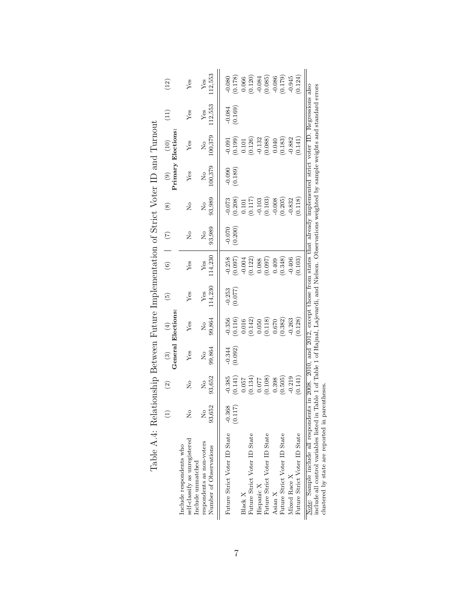| Table A.4: Relationship Between Future Implementation of Strict Voter ID and Turnout                                                                                                                                                                     |               |                                 |                                            |                                                    |                 |                |                     |                                |                                    |                                                                                               |                        |                                                                           |
|----------------------------------------------------------------------------------------------------------------------------------------------------------------------------------------------------------------------------------------------------------|---------------|---------------------------------|--------------------------------------------|----------------------------------------------------|-----------------|----------------|---------------------|--------------------------------|------------------------------------|-----------------------------------------------------------------------------------------------|------------------------|---------------------------------------------------------------------------|
|                                                                                                                                                                                                                                                          |               | $\widehat{\Omega}$              | $\binom{3}{2}$                             | General Elections:<br>$\left( \frac{4}{2} \right)$ | $\widetilde{5}$ | $\widehat{6}$  | $\widetilde{C}$     | $\circledast$                  | Primary Elections:<br>$\odot$      | (10)                                                                                          | $\left(11\right)$      | (12)                                                                      |
| self-classify as unregistered<br>Include respondents who<br>Include unmatched                                                                                                                                                                            | $\frac{1}{2}$ | $\tilde{z}$                     | Yes                                        | Yes                                                | Yes             | Yes            | $\frac{1}{2}$       | $\frac{1}{2}$                  | Yes                                | Yes                                                                                           | Yes                    | Yes                                                                       |
| respondents as non-voters<br>Number of Observations                                                                                                                                                                                                      | 93,652<br>Ş   | 93,652<br>$\mathcal{L}^{\circ}$ | ${\rm\thinspace No\atop\thinspace}$ 99,864 | 99,864<br>2                                        | 114,230<br>Yes  | 114,230<br>Yes | 93,989<br>ż         | 93,989<br>$\tilde{\mathsf{z}}$ | 100,379<br>$\overline{\mathsf{S}}$ | 100,379<br>ż                                                                                  | 112,553<br>${\rm Yes}$ | 112,553<br>Yes                                                            |
| Future Strict Voter ID State                                                                                                                                                                                                                             | $-0.368$      | $-0.385$                        |                                            | $-0.356$                                           | $-0.253$        | $-0.258$       |                     | $-0.073$                       | $-0.090$                           | $-0.091$                                                                                      | $-0.084$               | 0.080                                                                     |
|                                                                                                                                                                                                                                                          | (0.117)       | (0.141)                         | $-0.344$<br>(0.092)                        | (0.116)                                            | (0.077)         | (760.0)        | $-0.070$<br>(0.200) | (0.208)                        | (0.189)                            | (661.0)                                                                                       | (0.169)                | (871.0)                                                                   |
| Black X                                                                                                                                                                                                                                                  |               | 0.057                           |                                            |                                                    |                 | $-0.004$       |                     |                                |                                    |                                                                                               |                        |                                                                           |
| Future Strict Voter ID State                                                                                                                                                                                                                             |               | (0.134)                         |                                            | $\binom{0.016}{0.142}$                             |                 | (0.122)        |                     | (0.101                         |                                    | $\begin{array}{c} 0.101 \\ (0.126) \\ -0.132 \\ (0.088) \end{array}$                          |                        | $\begin{array}{c} 0.066 \\ 0.120) \\ -0.084 \\ \hline 0.085) \end{array}$ |
| Hispanic X                                                                                                                                                                                                                                               |               |                                 |                                            |                                                    |                 |                |                     |                                |                                    |                                                                                               |                        |                                                                           |
| Future Strict Voter ID State                                                                                                                                                                                                                             |               | (0.108)                         |                                            | (0.118)                                            |                 | (0.088)        |                     | $-0.103$ (0.103)               |                                    |                                                                                               |                        |                                                                           |
| Asian X                                                                                                                                                                                                                                                  |               | 0.398                           |                                            | 0.670                                              |                 | 0.409          |                     | $-0.008$                       |                                    | 0.040                                                                                         |                        |                                                                           |
| Future Strict Voter ID State                                                                                                                                                                                                                             |               | (0.505)                         |                                            | (0.382)                                            |                 | (0.348)        |                     | (0.205)                        |                                    | (0.183)                                                                                       |                        | (621.0)                                                                   |
| Mixed Race X                                                                                                                                                                                                                                             |               | $-0.219$                        |                                            | $-0.263$                                           |                 | $-0.406$       |                     | $-0.832$                       |                                    | $-0.882$                                                                                      |                        | $-0.945$                                                                  |
| Future Strict Voter ID State                                                                                                                                                                                                                             |               | (0.141)                         |                                            | (0.128)                                            |                 | (0.103)        |                     | (0.118)                        |                                    | (0.141)                                                                                       |                        | 0.124)                                                                    |
| include all control variables listed in Table 1 of Table 1 of Hajnal, Lajevardi, and Nielson. Observations weighted by sample weights and standard errors<br>Note: Sample include all respondents in 2008. 2010,<br>clustered by state are reported in p | arentheses    |                                 |                                            |                                                    |                 |                |                     |                                |                                    | and 2012, except those from states that already implemented strict voter ID. Regressions also |                        |                                                                           |

| j<br>I                   |
|--------------------------|
|                          |
|                          |
|                          |
|                          |
|                          |
|                          |
| $\left  \right $         |
|                          |
|                          |
|                          |
|                          |
|                          |
| $\frac{1}{1}$            |
|                          |
|                          |
|                          |
|                          |
|                          |
|                          |
|                          |
|                          |
|                          |
|                          |
|                          |
|                          |
|                          |
|                          |
|                          |
| <br> <br> <br>           |
|                          |
|                          |
|                          |
|                          |
|                          |
|                          |
|                          |
|                          |
|                          |
|                          |
|                          |
|                          |
|                          |
|                          |
| ļ                        |
|                          |
|                          |
|                          |
|                          |
|                          |
|                          |
|                          |
|                          |
| $\sqrt{2}$               |
|                          |
|                          |
|                          |
|                          |
|                          |
|                          |
|                          |
|                          |
|                          |
|                          |
|                          |
|                          |
|                          |
| $\overline{\phantom{a}}$ |
|                          |
|                          |
|                          |
|                          |
|                          |
|                          |
|                          |
|                          |
| Table .                  |

7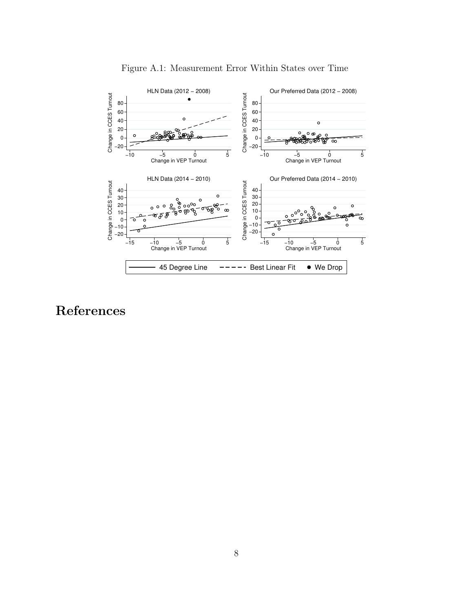

Figure A.1: Measurement Error Within States over Time

### References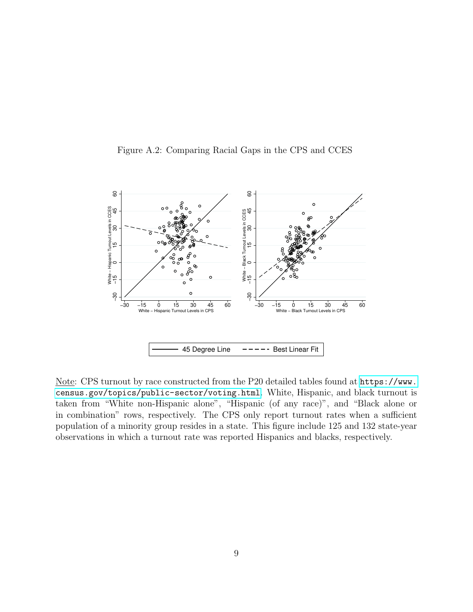



Note: CPS turnout by race constructed from the P20 detailed tables found at [https://www.](https://www.census.gov/topics/public-sector/voting.html) [census.gov/topics/public-sector/voting.html](https://www.census.gov/topics/public-sector/voting.html). White, Hispanic, and black turnout is taken from "White non-Hispanic alone", "Hispanic (of any race)", and "Black alone or in combination" rows, respectively. The CPS only report turnout rates when a sufficient population of a minority group resides in a state. This figure include 125 and 132 state-year observations in which a turnout rate was reported Hispanics and blacks, respectively.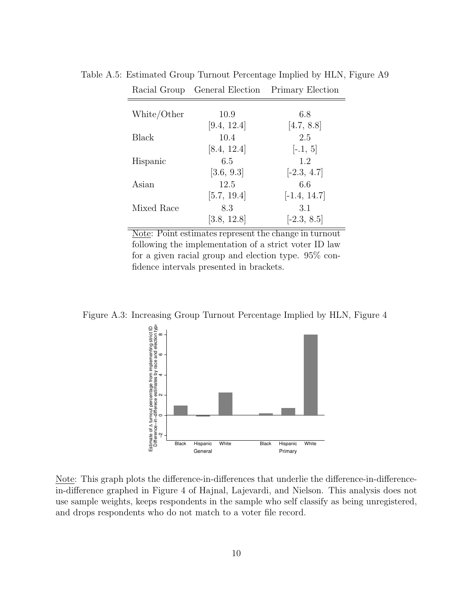| $1000101 \times 1000$ |                    |                   |
|-----------------------|--------------------|-------------------|
| White/Other           | 10.9               | 6.8               |
|                       | [9.4, 12.4]        | [4.7, 8.8]        |
| <b>Black</b>          | 10.4               | 2.5               |
| Hispanic              | [8.4, 12.4]<br>6.5 | $[-.1, 5]$<br>1.2 |
|                       | [3.6, 9.3]         | $[-2.3, 4.7]$     |
| Asian                 | 12.5               | 6.6               |
|                       | [5.7, 19.4]        | $[-1.4, 14.7]$    |
| Mixed Race            | 8.3                | 3.1               |
|                       | [3.8, 12.8]        | $[-2.3, 8.5]$     |

Table A.5: Estimated Group Turnout Percentage Implied by HLN, Figure A9 Racial Group General Election Primary Election

Note: Point estimates represent the change in turnout following the implementation of a strict voter ID law for a given racial group and election type. 95% confidence intervals presented in brackets.

Figure A.3: Increasing Group Turnout Percentage Implied by HLN, Figure 4



Note: This graph plots the difference-in-differences that underlie the difference-in-differencein-difference graphed in Figure 4 of Hajnal, Lajevardi, and Nielson. This analysis does not use sample weights, keeps respondents in the sample who self classify as being unregistered, and drops respondents who do not match to a voter file record.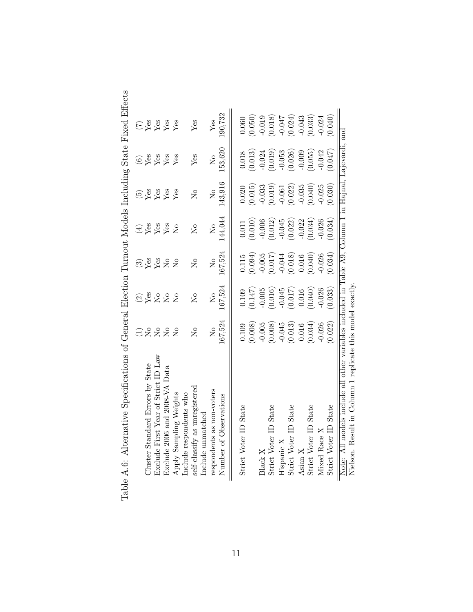| י<br>ון                                                                                                                                                                                                                                                           |
|-------------------------------------------------------------------------------------------------------------------------------------------------------------------------------------------------------------------------------------------------------------------|
| ļ                                                                                                                                                                                                                                                                 |
| ا<br>}                                                                                                                                                                                                                                                            |
| )<br>しょうしゅう<br>i a contra della contra della contra dell'aggiore di un'aggiore della contra della contra della contra della contra dell'aggiore di un'aggiore della contra dell'aggiore di un'aggiore di un'aggiore di un'aggiore di un'aggio<br>:<br>:<br>:<br>i |
| i<br>I                                                                                                                                                                                                                                                            |
| こうしゅう こうしょう しょうしょう<br>I                                                                                                                                                                                                                                           |
| ו<br>נ<br>$\frac{1}{2}$<br>i                                                                                                                                                                                                                                      |
| ì<br>I                                                                                                                                                                                                                                                            |
| l                                                                                                                                                                                                                                                                 |
| l                                                                                                                                                                                                                                                                 |
| ・・・・・<br>.<br>.<br>.<br>i<br>l                                                                                                                                                                                                                                    |
| ,<br>1<br>.<br>I<br>ĺ                                                                                                                                                                                                                                             |

| Cluster Standard Errors by State                                                                      |                                                                      |                                                                    |                                                                                                           |                                                                       |                           |                                                 |                       |
|-------------------------------------------------------------------------------------------------------|----------------------------------------------------------------------|--------------------------------------------------------------------|-----------------------------------------------------------------------------------------------------------|-----------------------------------------------------------------------|---------------------------|-------------------------------------------------|-----------------------|
| Law<br>Exclude First Year of Strict ID                                                                |                                                                      |                                                                    |                                                                                                           |                                                                       |                           |                                                 |                       |
| Exclude 2006 and 2008-VA Data                                                                         | 2222                                                                 | 2822                                                               |                                                                                                           | $9288\nXes$                                                           | E<br>Sega<br>Sega<br>Sega | $\bigcirc$ & $\bigcirc$ & $\bigcirc$ $\bigcirc$ | <b>ESSES</b><br>ESSES |
| Apply Sampling Weights                                                                                |                                                                      | $\overline{S}$                                                     |                                                                                                           | $\overline{S}$                                                        |                           |                                                 |                       |
| Include respondents who                                                                               |                                                                      |                                                                    |                                                                                                           |                                                                       |                           |                                                 |                       |
| self-classify as unregistered                                                                         | $\tilde{\Sigma}^{\circ}$                                             | $\overline{N}$                                                     | $\overline{\mathsf{S}}$                                                                                   | $\overline{N}$                                                        | $\mathcal{S}^{\circ}$     | Yes                                             | Yes                   |
| Include unmatchec                                                                                     |                                                                      |                                                                    |                                                                                                           |                                                                       |                           |                                                 |                       |
| respondents as non-voters                                                                             | $\tilde{\mathsf{X}}$                                                 | $\overline{a}$                                                     | $\overline{a}$                                                                                            | $\overline{N}$                                                        | $\tilde{S}$               | $\overline{M}^{\circ}$                          | ${\rm Yes}$           |
| Number of Observations                                                                                | .67,524                                                              | 167,524                                                            | 167,524                                                                                                   | 144,044                                                               | 143,916                   | 153,620                                         | 190,732               |
|                                                                                                       |                                                                      |                                                                    |                                                                                                           |                                                                       |                           |                                                 |                       |
| Strict Voter ID State                                                                                 |                                                                      |                                                                    | 0.115                                                                                                     | 0.011                                                                 | 0.020                     | 0.018                                           | 0.060                 |
|                                                                                                       | (0.109)                                                              | (0.109)                                                            | (0.094)                                                                                                   | (0.010)                                                               | (0.015)                   | (0.013)                                         | (0.050)               |
| Black X                                                                                               |                                                                      |                                                                    |                                                                                                           |                                                                       |                           | $-0.024$                                        |                       |
| <b>State</b><br>Strict Voter ID                                                                       | $-0.005$<br>$(0.008)$                                                | $-0.005$<br>$(0.016)$                                              | $\begin{array}{c} (0100 \\ (-017) \\ (-0.017) \\ (0.018) \\ (0.016) \\ (0.016) \\ (0.016) \\ \end{array}$ | $\begin{array}{c} -0.006 \\ (0.012) \\ -0.045 \\ (0.022) \end{array}$ | $-0.033$<br>$(0.019)$     | (0.019)                                         | (6.10, 0)             |
| Hispanic $X$                                                                                          |                                                                      |                                                                    |                                                                                                           |                                                                       |                           |                                                 |                       |
| <b>State</b><br>Strict Voter ID                                                                       | $\begin{array}{c} -0.045 \\ (0.013) \\ 0.016 \\ (0.034) \end{array}$ | $\begin{array}{c} -0.045 \\ (0.017) \\ 0.016 \\ 0.016 \end{array}$ |                                                                                                           |                                                                       | $-0.061$<br>$(0.022)$     | $-0.053$<br>$(0.026)$                           | (0.047)               |
| Asian X                                                                                               |                                                                      |                                                                    |                                                                                                           | $-0.022$<br>$(0.034)$                                                 | $-0.035$                  |                                                 | $-0.043$<br>$(0.033)$ |
| <b>State</b><br>Strict Voter ID                                                                       |                                                                      |                                                                    |                                                                                                           |                                                                       | (0.040)                   | (0.055)                                         |                       |
| Mixed Race X                                                                                          | $-0.026$                                                             | $-0.026$                                                           | $-0.026$                                                                                                  | $-0.026$                                                              | $-0.025$                  | $-0.042$                                        | $-0.024$              |
| <b>State</b><br>Strict Voter ID                                                                       | (0.022)                                                              | (0.033)                                                            | (0.034)                                                                                                   | 0.034)                                                                | (0.030)                   | (150.0)                                         | 0.040                 |
| Note: All models include all other variables included in Table A9, Column 1 in Hajnal, Lajevardi, and |                                                                      |                                                                    |                                                                                                           |                                                                       |                           |                                                 |                       |
| Nielson. Result in Column 1 replicate this model exactly                                              |                                                                      |                                                                    |                                                                                                           |                                                                       |                           |                                                 |                       |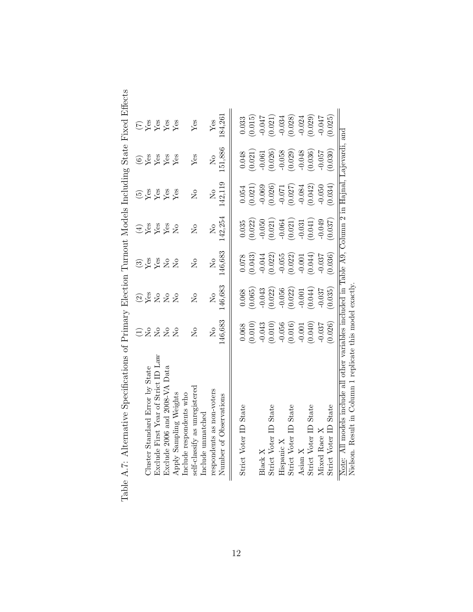| ؟<br>ا             | í       |
|--------------------|---------|
|                    | ¢<br>J. |
|                    | ı<br>J  |
|                    | l       |
|                    | ¢<br>)  |
|                    | J<br>¢  |
| I                  | ł       |
| l                  |         |
|                    |         |
| Table A.7: Altern. |         |

| Cluster Standard Error by State                                                                       | EL L                                                       | <b>Jggggg</b>             | <u>ិដ្ឋិ ដូន</u><br>១ដំណើ         |                                                            | ិន្ទ្រី និន្ទ្រី<br>DSS SSS | D 8 8 8 8<br>D 8 9 8 8<br>D 8 9 8 8 | <b>NA XA<br/>NA XA</b><br>NA XA |
|-------------------------------------------------------------------------------------------------------|------------------------------------------------------------|---------------------------|-----------------------------------|------------------------------------------------------------|-----------------------------|-------------------------------------|---------------------------------|
| Exclude First Year of Strict ID Law                                                                   |                                                            |                           |                                   |                                                            |                             |                                     |                                 |
| Data<br>Exclude 2006 and 2008-VA                                                                      | $\tilde{\mathsf{S}}$                                       |                           |                                   |                                                            |                             |                                     |                                 |
| Apply Sampling Weights<br>Include respondents who                                                     | $\tilde{\mathsf{z}}$                                       |                           |                                   | $\geq$                                                     |                             |                                     |                                 |
| self-classify as unregistereo<br>$Include$ $unnatched$                                                | $\overline{\mathsf{S}}$                                    | $\overline{N}$            | $\overline{N}$                    | $\overline{N}$                                             | $\overline{S}$              | Yes                                 | Yes                             |
| respondents as non-voters                                                                             | $\overline{\mathsf{S}}$                                    | $\mathsf{S}^{\mathsf{O}}$ | $\overline{\mathsf{S}}$           | $\overline{N}$                                             | $\overline{a}$              | $\overline{\mathsf{S}}$             | ${\rm Yes}$                     |
| Number of Observations                                                                                | 46,683                                                     | 146,683                   | 146,683                           | 142,254                                                    | 142,119                     | 151,886                             | 184,261                         |
| Strict Voter ID State                                                                                 | 0.068                                                      | $0.068\,$                 | $0.078\,$                         | 0.035                                                      | 0.054                       | 0.048                               | 0.033                           |
|                                                                                                       | (0.010)                                                    | (0.065)                   | 0.043)                            | (0.022)                                                    | (0.021)                     | (0.021)                             | (0.015)                         |
| Black X                                                                                               |                                                            |                           |                                   |                                                            |                             |                                     |                                 |
| <b>State</b><br>Strict Voter ID                                                                       | $-0.043$<br>$(0.010)$                                      | $-0.043$<br>(0.022)       | $-0.044$<br>$(0.022)$             | $-0.050$<br>$(0.021)$                                      | $-0.069$<br>$(0.026)$       | $-0.061$<br>$(0.026)$               | $(0.047$<br>(0.021)             |
| $H$ ispanic $X$                                                                                       |                                                            |                           |                                   |                                                            |                             |                                     |                                 |
| Strict Voter ID State                                                                                 | $\begin{array}{c} -0.056 \\ (0.016) \\ -0.001 \end{array}$ | $-0.056$<br>(0.022)       | $-0.055$<br>$(0.022)$<br>$-0.001$ | $\begin{array}{c} -0.064 \\ (0.021) \\ -0.031 \end{array}$ | $-0.071$<br>(0.027)         | $-0.058$<br>$(0.029)$               | $-0.034$<br>$(0.028)$           |
| Asian X                                                                                               |                                                            | $-0.001$                  |                                   |                                                            | $-0.084$                    | $-0.048$                            | $-0.024$                        |
| <b>State</b><br>Strict Voter ID                                                                       | 0.040)                                                     | (0.044)                   | 0.044)                            | (0.041)                                                    | (0.042)                     | 0.036)                              | (0.029)                         |
| Mixed Race X                                                                                          | $-0.037$                                                   | $-0.037$                  | $-0.037$                          | $-0.049$                                                   | $-0.050$                    | $-0.057$                            | $-0.047$                        |
| State<br>Strict Voter ID                                                                              | 0.026)                                                     | (0.035)                   | 0.036)                            | 0.037)                                                     | 0.034)                      | 0.030)                              | (0.025)                         |
| Note: All models include all other variables included in Table A9, Column 2 in Hajnal, Lajevardi, and |                                                            |                           |                                   |                                                            |                             |                                     |                                 |
| Nielson. Result in Column 1 replicate this model exactly                                              |                                                            |                           |                                   |                                                            |                             |                                     |                                 |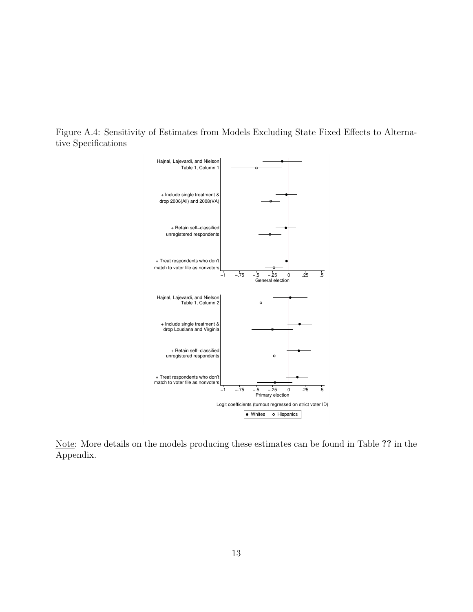Figure A.4: Sensitivity of Estimates from Models Excluding State Fixed Effects to Alternative Specifications



Note: More details on the models producing these estimates can be found in Table ?? in the Appendix.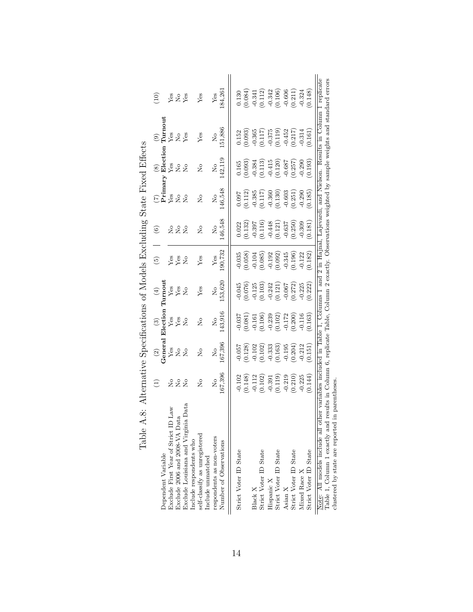| Table A.8: Alternative Specifications of Models Excluding State Fixed Effects                                                                                                                                                                                                                                                              | E                                                                     | $\widehat{\mathcal{Q}}$    | $\circledS$                                              | $\tag{4}$               | $\widetilde{\Theta}$  | $\widehat{\circ}$         |                                               |                                 |                                    | $\widehat{E}$                                                                      |
|--------------------------------------------------------------------------------------------------------------------------------------------------------------------------------------------------------------------------------------------------------------------------------------------------------------------------------------------|-----------------------------------------------------------------------|----------------------------|----------------------------------------------------------|-------------------------|-----------------------|---------------------------|-----------------------------------------------|---------------------------------|------------------------------------|------------------------------------------------------------------------------------|
| Dependent Variable                                                                                                                                                                                                                                                                                                                         |                                                                       | General                    | Election                                                 | Turnout                 |                       |                           |                                               | $(7)$ $(8)$<br>Primary Election | $\frac{(9)}{\Gamma \text{urnout}}$ |                                                                                    |
| Law<br>Exclude First Year of Strict ID                                                                                                                                                                                                                                                                                                     |                                                                       | ${\rm Yes}$                |                                                          |                         |                       |                           |                                               | ${\rm Yes}$                     |                                    |                                                                                    |
| Exclude 2006 and 2008-VA Data                                                                                                                                                                                                                                                                                                              | 222                                                                   |                            | $_{\rm Yes}^{\rm QFT}$                                   | Yes<br>Yes              | Yes<br>Yes            | 222                       | <b>SES</b>                                    |                                 | 8<br>2<br>2<br>2<br>2              | <b>Ses</b><br>Ses                                                                  |
| Data<br>Exclude Louisiana and Virginia                                                                                                                                                                                                                                                                                                     |                                                                       | 28                         | $\tilde{R}$                                              | $\overline{a}$          | $\rm _{Z}^{\circ}$    |                           |                                               | 2g                              |                                    |                                                                                    |
| Include respondents who                                                                                                                                                                                                                                                                                                                    |                                                                       |                            |                                                          |                         |                       |                           |                                               |                                 |                                    |                                                                                    |
| self-classify as unregistered<br>Include unmatched                                                                                                                                                                                                                                                                                         | $\mathsf{S}^{\mathsf{O}}$                                             | $\mathsf{S}^{\mathsf{O}}$  | $\mathsf{S}^{\mathsf{O}}$                                | Yes                     | Yes                   | $\mathsf{S}^{\mathsf{O}}$ | $\mathsf{S}^{\mathsf{O}}$                     | $\overline{R}$                  | Yes                                | Yes                                                                                |
| respondents as non-voters                                                                                                                                                                                                                                                                                                                  | $\mathsf{S}^{\mathsf{O}}$                                             | $\stackrel{\circ}{\simeq}$ | $\overset{\circ}{\mathsf{z}}$                            | $\overline{\mathsf{S}}$ | Yes                   | ż                         | $\overline{\mathsf{S}}$                       | $\mathsf{S}^{\mathsf{O}}$       | $\overline{\mathsf{S}}$            | Yes                                                                                |
| Number of Observations                                                                                                                                                                                                                                                                                                                     | 167,396                                                               | 167,396                    | 143,916                                                  | 153,620                 | 190,732               | 146,548                   | 146,548                                       | 142,119                         | 151,886                            | 84,261                                                                             |
| Strict Voter ID State                                                                                                                                                                                                                                                                                                                      |                                                                       |                            |                                                          |                         |                       |                           |                                               |                                 |                                    |                                                                                    |
|                                                                                                                                                                                                                                                                                                                                            |                                                                       | $-0.057$<br>$(0.128)$      | $\begin{array}{c} 0.037 \\ 0.081) \\ -0.161 \end{array}$ | (0.045)                 | $-0.035$<br>$(0.058)$ | $\binom{0.022}{0.132}$    | $\begin{array}{c} 0.097 \\ 0.112 \end{array}$ | (0.165)                         | $\binom{0.152}{0.093}$             | (0.130)                                                                            |
| Black X                                                                                                                                                                                                                                                                                                                                    |                                                                       |                            |                                                          | $-0.125$                | $-0.104$              |                           | 0.385                                         | $-0.384$                        | $-0.365$                           |                                                                                    |
| Strict Voter ID State                                                                                                                                                                                                                                                                                                                      | $\begin{array}{c} -0.102 \\ (0.148) \\ -0.112 \\ (0.102) \end{array}$ | $-0.102$<br>$(0.102)$      | (0.106)                                                  | (0.103)                 | (0.085)               | (0.116)                   | (711.0)                                       | (0.113)                         | (0.117)                            | $\begin{array}{c} -0.341 \\ (0.112) \\ -0.342 \\ (0.106) \\ -0.606 \\ \end{array}$ |
| Hispanic X                                                                                                                                                                                                                                                                                                                                 |                                                                       |                            |                                                          |                         |                       |                           |                                               |                                 |                                    |                                                                                    |
| Strict Voter ID State                                                                                                                                                                                                                                                                                                                      | $-0.391$<br>$(0.119)$                                                 | $-0.333$<br>$(0.163)$      | $-0.239$<br>$(0.102)$                                    | $-0.242$<br>$(0.121)$   | $-0.192$<br>$(0.092)$ | (0.121)                   | $-0.360$<br>$(0.130)$                         | $-0.415$<br>$(0.120)$           | $-0.375$<br>$(0.119)$              |                                                                                    |
| Asian $X$                                                                                                                                                                                                                                                                                                                                  |                                                                       | $-0.195$                   | $-0.172$                                                 |                         |                       |                           |                                               | $-0.687$                        | $-0.452$                           |                                                                                    |
| Strict Voter ID State                                                                                                                                                                                                                                                                                                                      | $-0.219$<br>$(0.210)$                                                 | (0.204)                    | (0.200)                                                  | $-0.067$<br>$(0.272)$   | $-0.345$<br>$(0.196)$ | $-0.637$<br>$(0.250)$     | $(0.603)$<br>$(0.251)$                        | (0.257)                         | (0.217)                            |                                                                                    |
|                                                                                                                                                                                                                                                                                                                                            |                                                                       | $-0.212$                   | $-0.116$                                                 |                         | $-0.122$              | $-0.309$                  | $-0.290$                                      | $-0.290$                        | $-0.314$                           | $-0.324$                                                                           |
| $Mixed\,\,Race\,\,X$ Strict Voter ID State                                                                                                                                                                                                                                                                                                 | $-0.225$<br>$(0.144)$                                                 | (0.151)                    | (0.163)                                                  | $-0.225$<br>$(0.222)$   | (0.182)               | 0.181)                    | (0.185)                                       | (0.193)                         | (0.161)                            | (0.148)                                                                            |
| Note: All models include all other variables included in Table 1, Columns 1 and 2 in Hajnal, Lajevardi, and Nielson. Results in Column 1 replicate<br>fable 1, Column 1 exactly and results in Column 6, replicate Table, Column 2 exactly. Observations weighted by sample weights and standard errors<br>clustered by state are reported | in parentheses.                                                       |                            |                                                          |                         |                       |                           |                                               |                                 |                                    |                                                                                    |
|                                                                                                                                                                                                                                                                                                                                            |                                                                       |                            |                                                          |                         |                       |                           |                                               |                                 |                                    |                                                                                    |

|  | Table A.8: Alternative Specifications of Models Excluding State Fixed 1 |  |
|--|-------------------------------------------------------------------------|--|
|  |                                                                         |  |
|  |                                                                         |  |
|  |                                                                         |  |
|  |                                                                         |  |
|  |                                                                         |  |
|  |                                                                         |  |
|  |                                                                         |  |
|  |                                                                         |  |
|  |                                                                         |  |
|  |                                                                         |  |
|  |                                                                         |  |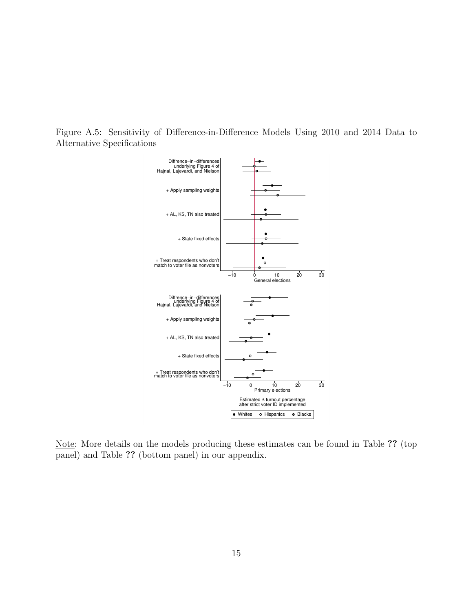Figure A.5: Sensitivity of Difference-in-Difference Models Using 2010 and 2014 Data to Alternative Specifications



Note: More details on the models producing these estimates can be found in Table ?? (top panel) and Table ?? (bottom panel) in our appendix.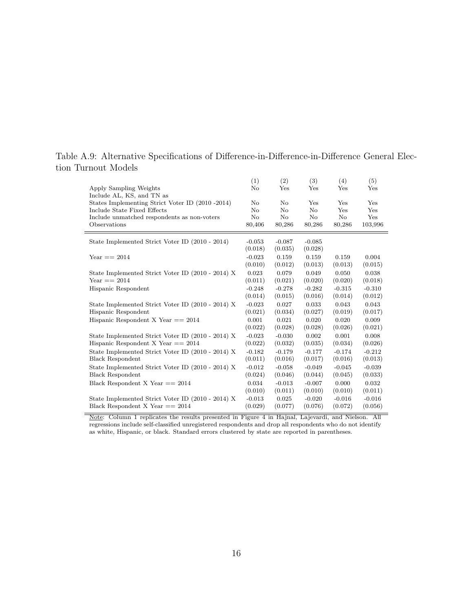|                     | Table A.9: Alternative Specifications of Difference-in-Difference-in-Difference General Elec- |  |  |  |
|---------------------|-----------------------------------------------------------------------------------------------|--|--|--|
| tion Turnout Models |                                                                                               |  |  |  |

|                                                                                | (1)                 | (2)                 | (3)                 | (4)                 | (5)                 |
|--------------------------------------------------------------------------------|---------------------|---------------------|---------------------|---------------------|---------------------|
| Apply Sampling Weights                                                         | No                  | $_{\rm Yes}$        | Yes                 | Yes                 | Yes                 |
| Include AL, KS, and TN as<br>States Implementing Strict Voter ID (2010 - 2014) | No                  | No                  | Yes                 | Yes                 | Yes                 |
| Include State Fixed Effects                                                    | No                  | $\rm No$            | No                  | Yes                 | Yes                 |
| Include unmatched respondents as non-voters                                    | No                  | $\rm No$            | $\rm No$            | $\rm No$            | Yes                 |
| Observations                                                                   | 80,406              | 80,286              | 80,286              | 80,286              | 103,996             |
| State Implemented Strict Voter ID (2010 - 2014)                                | $-0.053$            | $-0.087$            | $-0.085$            |                     |                     |
|                                                                                | (0.018)             | (0.035)             | (0.028)             |                     |                     |
| Year $== 2014$                                                                 | $-0.023$            | 0.159               | 0.159               | 0.159               | 0.004               |
|                                                                                | (0.010)             | (0.012)             | (0.013)             | (0.013)             | (0.015)             |
| State Implemented Strict Voter ID (2010 - 2014) X                              | 0.023               | 0.079               | 0.049               | 0.050               | 0.038               |
| Year $== 2014$                                                                 | (0.011)             | (0.021)             | (0.020)             | (0.020)             | (0.018)             |
| Hispanic Respondent                                                            | $-0.248$            | $-0.278$            | $-0.282$            | $-0.315$            | $-0.310$            |
|                                                                                | (0.014)             | (0.015)             | (0.016)             | (0.014)             | (0.012)             |
| State Implemented Strict Voter ID (2010 - 2014) X                              | $-0.023$            | 0.027               | 0.033               | 0.043               | 0.043               |
| Hispanic Respondent                                                            | (0.021)             | (0.034)             | (0.027)             | (0.019)             | (0.017)             |
| Hispanic Respondent X Year $== 2014$                                           | 0.001               | 0.021               | 0.020               | 0.020               | 0.009               |
|                                                                                | (0.022)             | (0.028)             | (0.028)             | (0.026)             | (0.021)             |
| State Implemented Strict Voter ID (2010 - 2014) X                              | $-0.023$            | $-0.030$            | 0.002               | 0.001               | 0.008               |
| Hispanic Respondent X Year $== 2014$                                           | (0.022)             | (0.032)             | (0.035)             | (0.034)             | (0.026)             |
| State Implemented Strict Voter ID (2010 - 2014) X                              | $-0.182$            | $-0.179$            | $-0.177$            | $-0.174$            | $-0.212$            |
| <b>Black Respondent</b>                                                        | (0.011)             | (0.016)             | (0.017)             | (0.016)             | (0.013)             |
| State Implemented Strict Voter ID (2010 - 2014) X<br><b>Black Respondent</b>   | $-0.012$<br>(0.024) | $-0.058$<br>(0.046) | $-0.049$<br>(0.044) | $-0.045$<br>(0.045) | $-0.039$<br>(0.033) |
|                                                                                | 0.034               | $-0.013$            | $-0.007$            | 0.000               | 0.032               |
| Black Respondent X Year $== 2014$                                              | (0.010)             | (0.011)             | (0.010)             | (0.010)             | (0.011)             |
| State Implemented Strict Voter ID (2010 - 2014) X                              | $-0.013$            | 0.025               | $-0.020$            | $-0.016$            | $-0.016$            |
| Black Respondent X Year $== 2014$                                              | (0.029)             | (0.077)             | (0.076)             | (0.072)             | (0.056)             |
|                                                                                |                     |                     |                     |                     |                     |

Note: Column 1 replicates the results presented in Figure 4 in Hajnal, Lajevardi, and Nielson. All regressions include self-classified unregistered respondents and drop all respondents who do not identify as white, Hispanic, or black. Standard errors clustered by state are reported in parentheses.